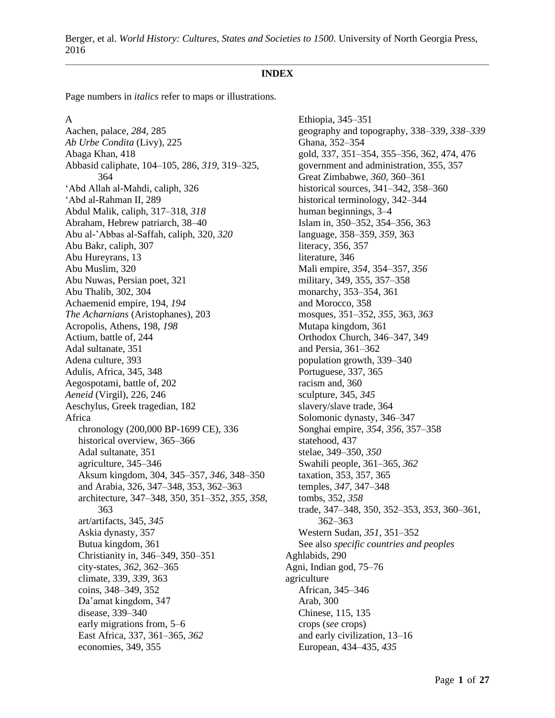#### **INDEX**

Page numbers in *italics* refer to maps or illustrations.

A

Aachen, palace, *284,* 285 *Ab Urbe Condita* (Livy), 225 Abaga Khan, 418 Abbasid caliphate, 104–105, 286, *319,* 319–325, 364 'Abd Allah al-Mahdi, caliph, 326 'Abd al-Rahman II, 289 Abdul Malik, caliph, 317–318, *318* Abraham, Hebrew patriarch, 38–40 Abu al-'Abbas al-Saffah, caliph, 320, *320* Abu Bakr, caliph, 307 Abu Hureyrans, 13 Abu Muslim, 320 Abu Nuwas, Persian poet, 321 Abu Thalib, 302, 304 Achaemenid empire, 194, *194 The Acharnians* (Aristophanes), 203 Acropolis, Athens, 198, *198* Actium, battle of, 244 Adal sultanate, 351 Adena culture, 393 Adulis, Africa, 345, 348 Aegospotami, battle of, 202 *Aeneid* (Virgil), 226, 246 Aeschylus, Greek tragedian, 182 Africa chronology (200,000 BP-1699 CE), 336 historical overview, 365–366 Adal sultanate, 351 agriculture, 345–346 Aksum kingdom, 304, 345–357, *346,* 348–350 and Arabia, 326, 347–348, 353, 362–363 architecture, 347–348, 350, 351–352, *355, 358,* 363 art/artifacts, 345, *345* Askia dynasty, 357 Butua kingdom, 361 Christianity in, 346–349, 350–351 city-states, *362,* 362–365 climate, 339, *339,* 363 coins, 348–349, 352 Da'amat kingdom, 347 disease, 339–340 early migrations from, 5–6 East Africa, 337, 361–365, *362* economies, 349, 355

Ethiopia, 345–351 geography and topography, 338–339, *338–339* Ghana, 352–354 gold, 337, 351–354, 355–356, 362, 474, 476 government and administration, 355, 357 Great Zimbabwe, *360,* 360–361 historical sources, 341–342, 358–360 historical terminology, 342–344 human beginnings, 3–4 Islam in, 350–352, 354–356, 363 language, 358–359, *359,* 363 literacy, 356, 357 literature, 346 Mali empire, *354,* 354–357, *356* military, 349, 355, 357–358 monarchy, 353–354, 361 and Morocco, 358 mosques, 351–352, *355,* 363, *363* Mutapa kingdom, 361 Orthodox Church, 346–347, 349 and Persia, 361–362 population growth, 339–340 Portuguese, 337, 365 racism and, 360 sculpture, 345, *345* slavery/slave trade, 364 Solomonic dynasty, 346–347 Songhai empire, *354, 356,* 357–358 statehood, 437 stelae, 349–350, *350* Swahili people, 361–365, *362* taxation, 353, 357, 365 temples, *347,* 347–348 tombs, 352, *358* trade, 347–348, 350, 352–353, *353,* 360–361, 362–363 Western Sudan, *351,* 351–352 See also *specific countries and peoples* Aghlabids, 290 Agni, Indian god, 75–76 agriculture African, 345–346 Arab, 300 Chinese, 115, 135 crops (*see* crops) and early civilization, 13–16 European, 434–435, *435*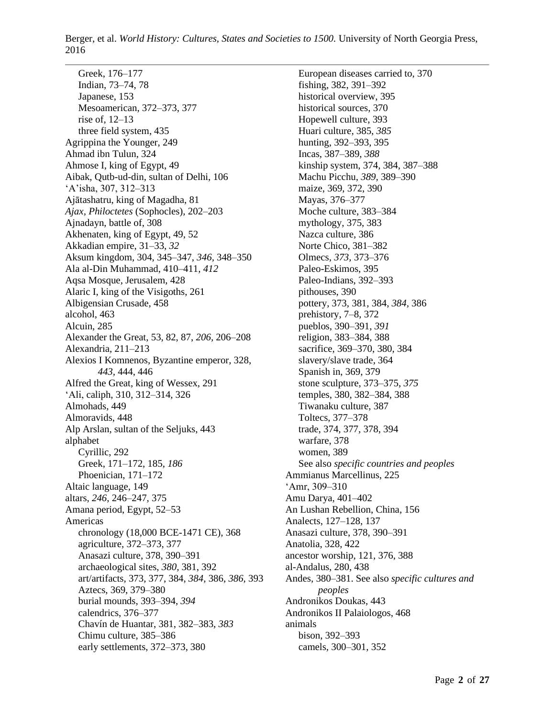Greek, 176–177 Indian, 73–74, 78 Japanese, 153 Mesoamerican, 372–373, 377 rise of, 12–13 three field system, 435 Agrippina the Younger, 249 Ahmad ibn Tulun, 324 Ahmose I, king of Egypt, 49 Aibak, Qutb-ud-din, sultan of Delhi, 106 'A'isha, 307, 312–313 Ajātashatru, king of Magadha, 81 *Ajax, Philoctetes* (Sophocles), 202–203 Ajnadayn, battle of, 308 Akhenaten, king of Egypt, 49, 52 Akkadian empire, 31–33, *32* Aksum kingdom, 304, 345–347, *346,* 348–350 Ala al-Din Muhammad, 410–411, *412* Aqsa Mosque, Jerusalem, 428 Alaric I, king of the Visigoths, 261 Albigensian Crusade, 458 alcohol, 463 Alcuin, 285 Alexander the Great, 53, 82, 87, *206,* 206–208 Alexandria, 211–213 Alexios I Komnenos, Byzantine emperor, 328, *443,* 444, 446 Alfred the Great, king of Wessex, 291 'Ali, caliph, 310, 312–314, 326 Almohads, 449 Almoravids, 448 Alp Arslan, sultan of the Seljuks, 443 alphabet Cyrillic, 292 Greek, 171–172, 185, *186* Phoenician, 171–172 Altaic language, 149 altars, *246,* 246–247, 375 Amana period, Egypt, 52–53 Americas chronology (18,000 BCE-1471 CE), 368 agriculture, 372–373, 377 Anasazi culture, 378, 390–391 archaeological sites, *380,* 381, 392 art/artifacts, 373, 377, 384, *384,* 386, *386,* 393 Aztecs, 369, 379–380 burial mounds, 393–394, *394* calendrics, 376–377 Chavín de Huantar, 381, 382–383, *383* Chimu culture, 385–386 early settlements, 372–373, 380

European diseases carried to, 370 fishing, 382, 391–392 historical overview, 395 historical sources, 370 Hopewell culture, 393 Huari culture, 385, *385* hunting, 392–393, 395 Incas, 387–389, *388* kinship system, 374, 384, 387–388 Machu Picchu, *389,* 389–390 maize, 369, 372, 390 Mayas, 376–377 Moche culture, 383–384 mythology, 375, 383 Nazca culture, 386 Norte Chico, 381–382 Olmecs, *373,* 373–376 Paleo-Eskimos, 395 Paleo-Indians, 392–393 pithouses, 390 pottery, 373, 381, 384, *384,* 386 prehistory, 7–8, 372 pueblos, 390–391, *391* religion, 383–384, 388 sacrifice, 369–370, 380, 384 slavery/slave trade, 364 Spanish in, 369, 379 stone sculpture, 373–375, *375* temples, 380, 382–384, 388 Tiwanaku culture, 387 Toltecs, 377–378 trade, 374, 377, 378, 394 warfare, 378 women, 389 See also *specific countries and peoples* Ammianus Marcellinus, 225 'Amr, 309–310 Amu Darya, 401–402 An Lushan Rebellion, China, 156 Analects, 127–128, 137 Anasazi culture, 378, 390–391 Anatolia, 328, 422 ancestor worship, 121, 376, 388 al-Andalus, 280, 438 Andes, 380–381. See also *specific cultures and peoples* Andronikos Doukas, 443 Andronikos II Palaiologos, 468 animals bison, 392–393 camels, 300–301, 352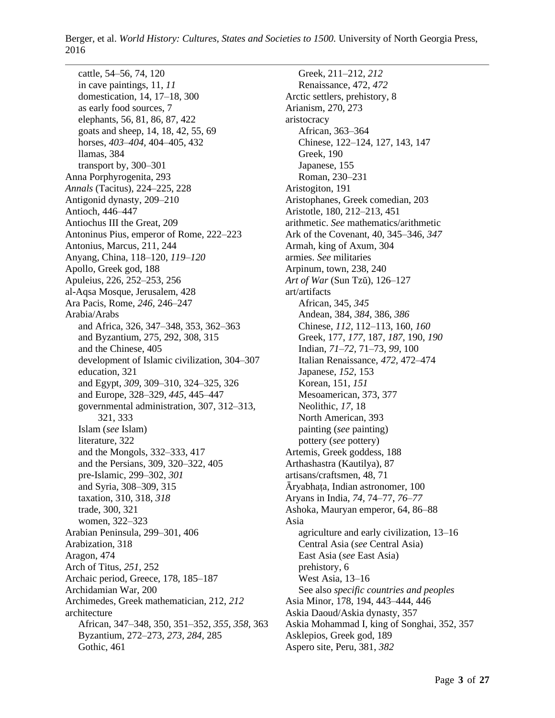cattle, 54–56, 74, 120 in cave paintings, 11, *11* domestication, 14, 17–18, 300 as early food sources, 7 elephants, 56, 81, 86, 87, 422 goats and sheep, 14, 18, 42, 55, 69 horses, *403–404,* 404–405, 432 llamas, 384 transport by, 300–301 Anna Porphyrogenita, 293 *Annals* (Tacitus), 224–225, 228 Antigonid dynasty, 209–210 Antioch, 446–447 Antiochus III the Great, 209 Antoninus Pius, emperor of Rome, 222–223 Antonius, Marcus, 211, 244 Anyang, China, 118–120, *119–120* Apollo, Greek god, 188 Apuleius, 226, 252–253, 256 al-Aqsa Mosque, Jerusalem, 428 Ara Pacis, Rome, *246,* 246–247 Arabia/Arabs and Africa, 326, 347–348, 353, 362–363 and Byzantium, 275, 292, 308, 315 and the Chinese, 405 development of Islamic civilization, 304–307 education, 321 and Egypt, *309,* 309–310, 324–325, 326 and Europe, 328–329, *445,* 445–447 governmental administration, 307, 312–313, 321, 333 Islam (*see* Islam) literature, 322 and the Mongols, 332–333, 417 and the Persians, 309, 320–322, 405 pre-Islamic, 299–302, *301* and Syria, 308–309, 315 taxation, 310, 318, *318* trade, 300, 321 women, 322–323 Arabian Peninsula, 299–301, 406 Arabization, 318 Aragon, 474 Arch of Titus, *251,* 252 Archaic period, Greece, 178, 185–187 Archidamian War, 200 Archimedes, Greek mathematician, 212, *212* architecture African, 347–348, 350, 351–352, *355, 358,* 363 Byzantium, 272–273, *273, 284,* 285 Gothic, 461

Greek, 211–212, *212* Renaissance, 472, *472* Arctic settlers, prehistory, 8 Arianism, 270, 273 aristocracy African, 363–364 Chinese, 122–124, 127, 143, 147 Greek, 190 Japanese, 155 Roman, 230–231 Aristogiton, 191 Aristophanes, Greek comedian, 203 Aristotle, 180, 212–213, 451 arithmetic. *See* mathematics/arithmetic Ark of the Covenant, 40, 345–346, *347* Armah, king of Axum, 304 armies. *See* militaries Arpinum, town, 238, 240 *Art of War* (Sun Tzŭ), 126–127 art/artifacts African, 345, *345* Andean, 384, *384,* 386, *386* Chinese, *112,* 112–113, 160, *160* Greek, 177, *177,* 187, *187,* 190, *190* Indian, *71–72,* 71–73, *99,* 100 Italian Renaissance, *472,* 472–474 Japanese, *152,* 153 Korean, 151, *151* Mesoamerican, 373, 377 Neolithic, *17,* 18 North American, 393 painting (*see* painting) pottery (*see* pottery) Artemis, Greek goddess, 188 Arthashastra (Kautilya), 87 artisans/craftsmen, 48, 71 Āryabhaṭa, Indian astronomer, 100 Aryans in India, *74,* 74–77, *76–77* Ashoka, Mauryan emperor, 64, 86–88 Asia agriculture and early civilization, 13–16 Central Asia (*see* Central Asia) East Asia (*see* East Asia) prehistory, 6 West Asia, 13–16 See also *specific countries and peoples* Asia Minor, 178, 194, 443–444, 446 Askia Daoud/Askia dynasty, 357 Askia Mohammad I, king of Songhai, 352, 357 Asklepios, Greek god, 189 Aspero site, Peru, 381, *382*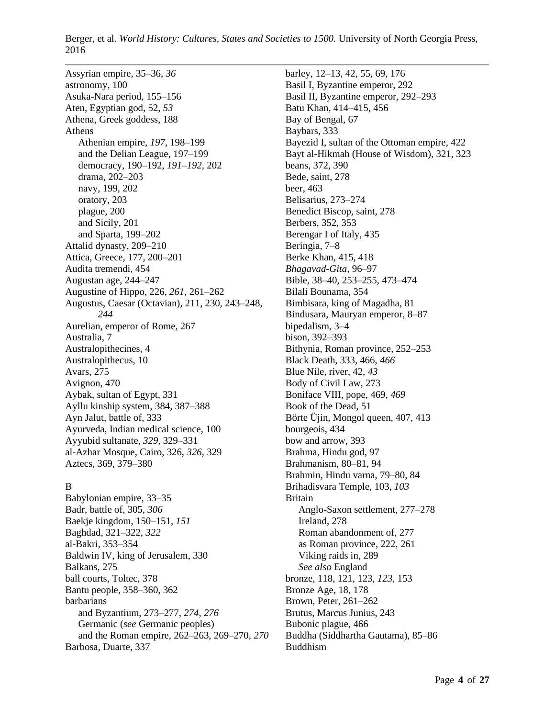Assyrian empire, 35–36, *36* astronomy, 100 Asuka-Nara period, 155–156 Aten, Egyptian god, 52, *53* Athena, Greek goddess, 188 Athens Athenian empire, *197,* 198–199 and the Delian League, 197–199 democracy, 190–192, *191–192,* 202 drama, 202–203 navy, 199, 202 oratory, 203 plague, 200 and Sicily, 201 and Sparta, 199–202 Attalid dynasty, 209–210 Attica, Greece, 177, 200–201 Audita tremendi, 454 Augustan age, 244–247 Augustine of Hippo, 226, *261,* 261–262 Augustus, Caesar (Octavian), 211, 230, 243–248, *244* Aurelian, emperor of Rome, 267 Australia, 7 Australopithecines, 4 Australopithecus, 10 Avars, 275 Avignon, 470 Aybak, sultan of Egypt, 331 Ayllu kinship system, 384, 387–388 Ayn Jalut, battle of, 333 Ayurveda, Indian medical science, 100 Ayyubid sultanate, *329,* 329–331 al-Azhar Mosque, Cairo, 326, *326,* 329 Aztecs, 369, 379–380

## B

Babylonian empire, 33–35 Badr, battle of, 305, *306* Baekje kingdom, 150–151, *151* Baghdad, 321–322, *322* al-Bakri, 353–354 Baldwin IV, king of Jerusalem, 330 Balkans, 275 ball courts, Toltec, 378 Bantu people, 358–360, 362 barbarians and Byzantium, 273–277, *274, 276* Germanic (*see* Germanic peoples) and the Roman empire, 262–263, 269–270, *270* Barbosa, Duarte, 337

barley, 12–13, 42, 55, 69, 176 Basil I, Byzantine emperor, 292 Basil II, Byzantine emperor, 292–293 Batu Khan, 414–415, 456 Bay of Bengal, 67 Baybars, 333 Bayezid I, sultan of the Ottoman empire, 422 Bayt al-Hikmah (House of Wisdom), 321, 323 beans, 372, 390 Bede, saint, 278 beer, 463 Belisarius, 273–274 Benedict Biscop, saint, 278 Berbers, 352, 353 Berengar I of Italy, 435 Beringia, 7–8 Berke Khan, 415, 418 *Bhagavad-Gita,* 96–97 Bible, 38–40, 253–255, 473–474 Bilali Bounama, 354 Bimbisara, king of Magadha, 81 Bindusara, Mauryan emperor, 8–87 bipedalism, 3–4 bison, 392–393 Bithynia, Roman province, 252–253 Black Death, 333, 466, *466* Blue Nile, river, 42, *43* Body of Civil Law, 273 Boniface VIII, pope, 469, *469* Book of the Dead, 51 Börte Üjin, Mongol queen, 407, 413 bourgeois, 434 bow and arrow, 393 Brahma, Hindu god, 97 Brahmanism, 80–81, 94 Brahmin, Hindu varna, 79–80, 84 Brihadisvara Temple, 103, *103* Britain Anglo-Saxon settlement, 277–278 Ireland, 278 Roman abandonment of, 277 as Roman province, 222, 261 Viking raids in, 289 *See also* England bronze, 118, 121, 123, *123,* 153 Bronze Age, 18, 178 Brown, Peter, 261–262 Brutus, Marcus Junius, 243 Bubonic plague, 466 Buddha (Siddhartha Gautama), 85–86 Buddhism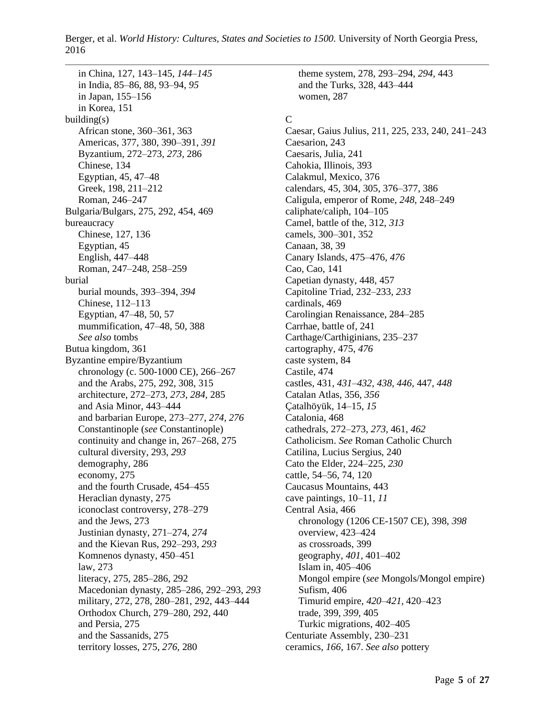in China, 127, 143–145, *144–145* in India, 85–86, 88, 93–94, *95* in Japan, 155–156 in Korea, 151 building(s) African stone, 360–361, 363 Americas, 377, 380, 390–391, *391* Byzantium, 272–273, *273,* 286 Chinese, 134 Egyptian, 45, 47–48 Greek, 198, 211–212 Roman, 246–247 Bulgaria/Bulgars, 275, 292, 454, 469 bureaucracy Chinese, 127, 136 Egyptian, 45 English, 447–448 Roman, 247–248, 258–259 burial burial mounds, 393–394, *394* Chinese, 112–113 Egyptian, 47–48, 50, 57 mummification, 47–48, 50, 388 *See also* tombs Butua kingdom, 361 Byzantine empire/Byzantium chronology (c. 500-1000 CE), 266–267 and the Arabs, 275, 292, 308, 315 architecture, 272–273, *273, 284,* 285 and Asia Minor, 443–444 and barbarian Europe, 273–277, *274, 276* Constantinople (*see* Constantinople) continuity and change in, 267–268, 275 cultural diversity, 293, *293* demography, 286 economy, 275 and the fourth Crusade, 454–455 Heraclian dynasty, 275 iconoclast controversy, 278–279 and the Jews, 273 Justinian dynasty, 271–274, *274* and the Kievan Rus, 292–293, *293* Komnenos dynasty, 450–451 law, 273 literacy, 275, 285–286, 292 Macedonian dynasty, 285–286, 292–293, *293* military, 272, 278, 280–281, 292, 443–444 Orthodox Church, 279–280, 292, 440 and Persia, 275 and the Sassanids, 275 territory losses, 275, *276,* 280

theme system, 278, 293–294, *294,* 443 and the Turks, 328, 443–444 women, 287

## C

Caesar, Gaius Julius, 211, 225, 233, 240, 241–243 Caesarion, 243 Caesaris, Julia, 241 Cahokia, Illinois, 393 Calakmul, Mexico, 376 calendars, 45, 304, 305, 376–377, 386 Caligula, emperor of Rome, *248,* 248–249 caliphate/caliph, 104–105 Camel, battle of the, 312, *313* camels, 300–301, 352 Canaan, 38, 39 Canary Islands, 475–476, *476* Cao, Cao, 141 Capetian dynasty, 448, 457 Capitoline Triad, 232–233, *233* cardinals, 469 Carolingian Renaissance, 284–285 Carrhae, battle of, 241 Carthage/Carthiginians, 235–237 cartography, 475, *476* caste system, 84 Castile, 474 castles, 431, *431–432, 438, 446,* 447, *448* Catalan Atlas, 356, *356* Çatalhöyük, 14–15, *15* Catalonia, 468 cathedrals, 272–273, *273,* 461, *462* Catholicism. *See* Roman Catholic Church Catilina, Lucius Sergius, 240 Cato the Elder, 224–225, *230* cattle, 54–56, 74, 120 Caucasus Mountains, 443 cave paintings, 10–11, *11* Central Asia, 466 chronology (1206 CE-1507 CE), 398, *398* overview, 423–424 as crossroads, 399 geography, *401,* 401–402 Islam in, 405–406 Mongol empire (*see* Mongols/Mongol empire) Sufism, 406 Timurid empire, *420–421,* 420–423 trade, 399, *399,* 405 Turkic migrations, 402–405 Centuriate Assembly, 230–231 ceramics, *166,* 167. *See also* pottery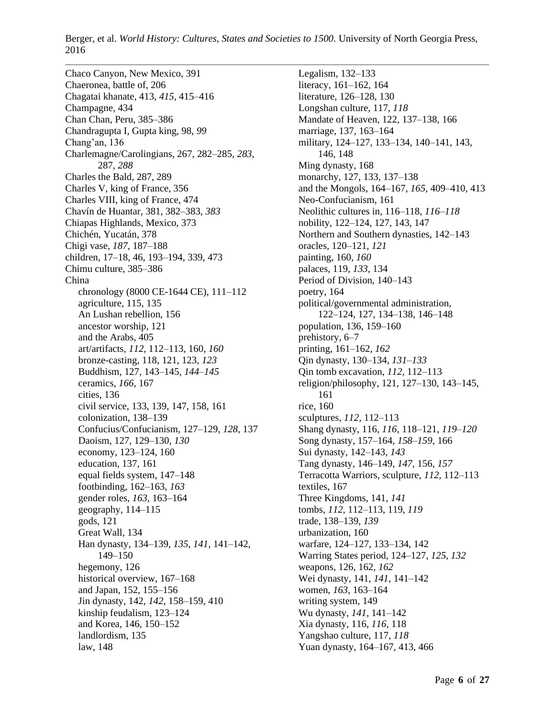Chaco Canyon, New Mexico, 391 Chaeronea, battle of, 206 Chagatai khanate, 413, *415,* 415–416 Champagne, 434 Chan Chan, Peru, 385–386 Chandragupta I, Gupta king, 98, *99* Chang'an, 136 Charlemagne/Carolingians, 267, 282–285, *283,* 287, *288* Charles the Bald, 287, 289 Charles V, king of France, 356 Charles VIII, king of France, 474 Chavín de Huantar, 381, 382–383, *383* Chiapas Highlands, Mexico, 373 Chichén, Yucatán, 378 Chigi vase, *187,* 187–188 children, 17–18, 46, 193–194, 339, 473 Chimu culture, 385–386 China chronology (8000 CE-1644 CE), 111–112 agriculture, 115, 135 An Lushan rebellion, 156 ancestor worship, 121 and the Arabs, 405 art/artifacts, *112,* 112–113, 160, *160* bronze-casting, 118, 121, 123, *123* Buddhism, 127, 143–145, *144–145* ceramics, *166,* 167 cities, 136 civil service, 133, 139, 147, 158, 161 colonization, 138–139 Confucius/Confucianism, 127–129, *128,* 137 Daoism, 127, 129–130, *130* economy, 123–124, 160 education, 137, 161 equal fields system, 147–148 footbinding, 162–163, *163* gender roles, *163,* 163–164 geography, 114–115 gods, 121 Great Wall, 134 Han dynasty, 134–139, *135, 141,* 141–142, 149–150 hegemony, 126 historical overview, 167–168 and Japan, 152, 155–156 Jin dynasty, 142, *142,* 158–159, 410 kinship feudalism, 123–124 and Korea, 146, 150–152 landlordism, 135 law, 148

Legalism, 132–133 literacy, 161–162, 164 literature, 126–128, 130 Longshan culture, 117, *118* Mandate of Heaven, 122, 137–138, 166 marriage, 137, 163–164 military, 124–127, 133–134, 140–141, 143, 146, 148 Ming dynasty, 168 monarchy, 127, 133, 137–138 and the Mongols, 164–167, *165,* 409–410, 413 Neo-Confucianism, 161 Neolithic cultures in, 116–118, *116–118* nobility, 122–124, 127, 143, 147 Northern and Southern dynasties, 142–143 oracles, 120–121, *121* painting, 160, *160* palaces, 119, *133,* 134 Period of Division, 140–143 poetry, 164 political/governmental administration, 122–124, 127, 134–138, 146–148 population, 136, 159–160 prehistory, 6–7 printing, 161–162, *162* Qin dynasty, 130–134, *131–133* Qin tomb excavation, *112,* 112–113 religion/philosophy, 121, 127–130, 143–145, 161 rice, 160 sculptures, *112,* 112–113 Shang dynasty, 116, *116,* 118–121, *119–120* Song dynasty, 157–164, *158–159,* 166 Sui dynasty, 142–143, *143* Tang dynasty, 146–149, *147,* 156, *157* Terracotta Warriors, sculpture, *112,* 112–113 textiles, 167 Three Kingdoms, 141, *141* tombs, *112,* 112–113, 119, *119* trade, 138–139, *139* urbanization, 160 warfare, 124–127, 133–134, 142 Warring States period, 124–127, *125, 132* weapons, 126, 162, *162* Wei dynasty, 141, *141,* 141–142 women, *163,* 163–164 writing system, 149 Wu dynasty, *141,* 141–142 Xia dynasty, 116, *116,* 118 Yangshao culture, 117, *118* Yuan dynasty, 164–167, 413, 466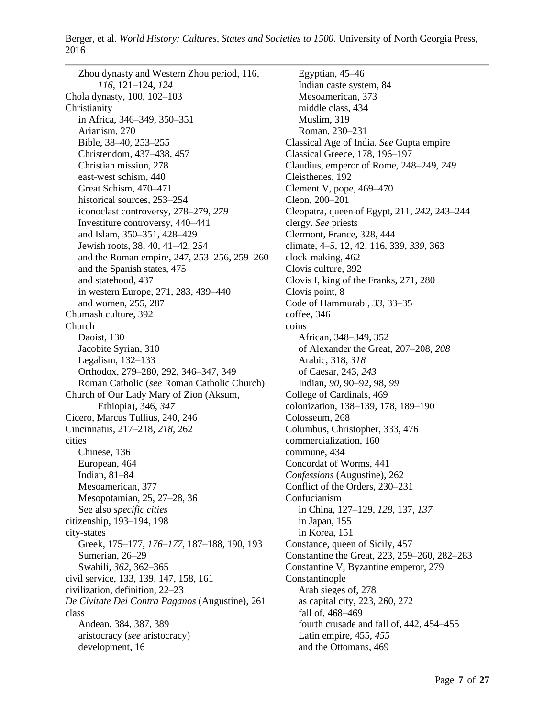Zhou dynasty and Western Zhou period, 116, *116,* 121–124, *124* Chola dynasty, 100, 102–103 Christianity in Africa, 346–349, 350–351 Arianism, 270 Bible, 38–40, 253–255 Christendom, 437–438, 457 Christian mission, 278 east-west schism, 440 Great Schism, 470–471 historical sources, 253–254 iconoclast controversy, 278–279, *279* Investiture controversy, 440–441 and Islam, 350–351, 428–429 Jewish roots, 38, 40, 41–42, 254 and the Roman empire, 247, 253–256, 259–260 and the Spanish states, 475 and statehood, 437 in western Europe, 271, 283, 439–440 and women, 255, 287 Chumash culture, 392 Church Daoist, 130 Jacobite Syrian, 310 Legalism, 132–133 Orthodox, 279–280, 292, 346–347, 349 Roman Catholic (*see* Roman Catholic Church) Church of Our Lady Mary of Zion (Aksum, Ethiopia), 346, *347* Cicero, Marcus Tullius, 240, 246 Cincinnatus, 217–218, *218,* 262 cities Chinese, 136 European, 464 Indian, 81–84 Mesoamerican, 377 Mesopotamian, 25, 27–28, 36 See also *specific cities* citizenship, 193–194, 198 city-states Greek, 175–177, *176–177,* 187–188, 190, 193 Sumerian, 26–29 Swahili, *362,* 362–365 civil service, 133, 139, 147, 158, 161 civilization, definition, 22–23 *De Civitate Dei Contra Paganos* (Augustine), 261 class Andean, 384, 387, 389 aristocracy (*see* aristocracy) development, 16

Egyptian, 45–46 Indian caste system, 84 Mesoamerican, 373 middle class, 434 Muslim, 319 Roman, 230–231 Classical Age of India. *See* Gupta empire Classical Greece, 178, 196–197 Claudius, emperor of Rome, 248–249, *249* Cleisthenes, 192 Clement V, pope, 469–470 Cleon, 200–201 Cleopatra, queen of Egypt, 211, *242,* 243–244 clergy. *See* priests Clermont, France, 328, 444 climate, 4–5, 12, 42, 116, 339, *339,* 363 clock-making, 462 Clovis culture, 392 Clovis I, king of the Franks, 271, 280 Clovis point, 8 Code of Hammurabi, *33,* 33–35 coffee, 346 coins African, 348–349, 352 of Alexander the Great, 207–208, *208* Arabic, 318, *318* of Caesar, 243, *243* Indian, *90,* 90–92, 98, *99* College of Cardinals, 469 colonization, 138–139, 178, 189–190 Colosseum, 268 Columbus, Christopher, 333, 476 commercialization, 160 commune, 434 Concordat of Worms, 441 *Confessions* (Augustine), 262 Conflict of the Orders, 230–231 Confucianism in China, 127–129, *128,* 137, *137* in Japan, 155 in Korea, 151 Constance, queen of Sicily, 457 Constantine the Great, 223, 259–260, 282–283 Constantine V, Byzantine emperor, 279 Constantinople Arab sieges of, 278 as capital city, 223, 260, 272 fall of, 468–469 fourth crusade and fall of, 442, 454–455 Latin empire, 455, *455* and the Ottomans, 469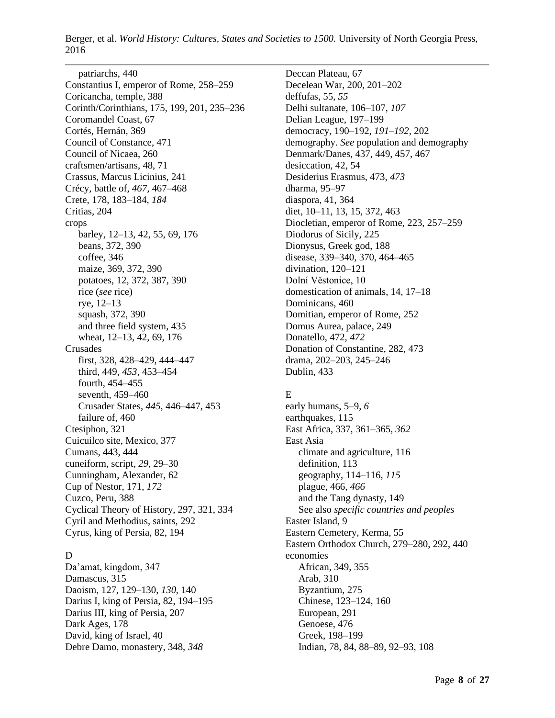patriarchs, 440 Constantius I, emperor of Rome, 258–259 Coricancha, temple, 388 Corinth/Corinthians, 175, 199, 201, 235–236 Coromandel Coast, 67 Cortés, Hernán, 369 Council of Constance, 471 Council of Nicaea, 260 craftsmen/artisans, 48, 71 Crassus, Marcus Licinius, 241 Crécy, battle of, *467,* 467–468 Crete, 178, 183–184, *184* Critias, 204 crops barley, 12–13, 42, 55, 69, 176 beans, 372, 390 coffee, 346 maize, 369, 372, 390 potatoes, 12, 372, 387, 390 rice (*see* rice) rye, 12–13 squash, 372, 390 and three field system, 435 wheat, 12–13, 42, 69, 176 Crusades first, 328, 428–429, 444–447 third, 449, *453,* 453–454 fourth, 454–455 seventh, 459–460 Crusader States, *445,* 446–447, 453 failure of, 460 Ctesiphon, 321 Cuicuilco site, Mexico, 377 Cumans, 443, 444 cuneiform, script, *29,* 29–30 Cunningham, Alexander, 62 Cup of Nestor, 171, *172* Cuzco, Peru, 388 Cyclical Theory of History, 297, 321, 334 Cyril and Methodius, saints, 292 Cyrus, king of Persia, 82, 194

## D

Da'amat, kingdom, 347 Damascus, 315 Daoism, 127, 129–130, *130,* 140 Darius I, king of Persia, 82, 194–195 Darius III, king of Persia, 207 Dark Ages, 178 David, king of Israel, 40 Debre Damo, monastery, 348, *348*

Deccan Plateau, 67 Decelean War, 200, 201–202 deffufas, 55, *55* Delhi sultanate, 106–107, *107* Delian League, 197–199 democracy, 190–192, *191–192,* 202 demography. *See* population and demography Denmark/Danes, 437, 449, 457, 467 desiccation, 42, 54 Desiderius Erasmus, 473, *473* dharma, 95–97 diaspora, 41, 364 diet, 10–11, 13, 15, 372, 463 Diocletian, emperor of Rome, 223, 257–259 Diodorus of Sicily, 225 Dionysus, Greek god, 188 disease, 339–340, 370, 464–465 divination, 120–121 Dolní Věstonice, 10 domestication of animals, 14, 17–18 Dominicans, 460 Domitian, emperor of Rome, 252 Domus Aurea, palace, 249 Donatello, 472, *472* Donation of Constantine, 282, 473 drama, 202–203, 245–246 Dublin, 433

# E

early humans, 5–9, *6* earthquakes, 115 East Africa, 337, 361–365, *362* East Asia climate and agriculture, 116 definition, 113 geography, 114–116, *115* plague, 466, *466* and the Tang dynasty, 149 See also *specific countries and peoples* Easter Island, 9 Eastern Cemetery, Kerma, 55 Eastern Orthodox Church, 279–280, 292, 440 economies African, 349, 355 Arab, 310 Byzantium, 275 Chinese, 123–124, 160 European, 291 Genoese, 476 Greek, 198–199 Indian, 78, 84, 88–89, 92–93, 108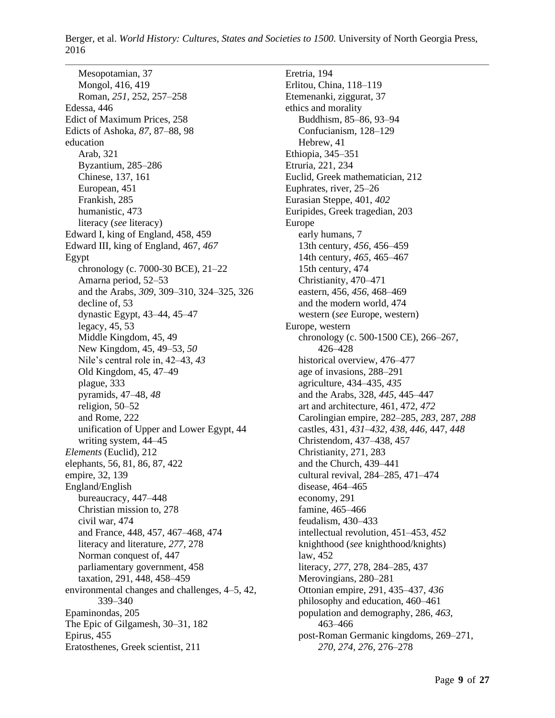Mesopotamian, 37 Mongol, 416, 419 Roman, *251,* 252, 257–258 Edessa, 446 Edict of Maximum Prices, 258 Edicts of Ashoka, *87,* 87–88, 98 education Arab, 321 Byzantium, 285–286 Chinese, 137, 161 European, 451 Frankish, 285 humanistic, 473 literacy (*see* literacy) Edward I, king of England, 458, 459 Edward III, king of England, 467, *467* Egypt chronology (c. 7000-30 BCE), 21–22 Amarna period, 52–53 and the Arabs, *309,* 309–310, 324–325, 326 decline of, 53 dynastic Egypt, 43–44, 45–47 legacy, 45, 53 Middle Kingdom, 45, 49 New Kingdom, 45, 49–53, *50* Nile's central role in, 42–43, *43* Old Kingdom, 45, 47–49 plague, 333 pyramids, 47–48, *48* religion, 50–52 and Rome, 222 unification of Upper and Lower Egypt, 44 writing system, 44–45 *Elements* (Euclid), 212 elephants, 56, 81, 86, 87, 422 empire, 32, 139 England/English bureaucracy, 447–448 Christian mission to, 278 civil war, 474 and France, 448, 457, 467–468, 474 literacy and literature, *277,* 278 Norman conquest of, 447 parliamentary government, 458 taxation, 291, 448, 458–459 environmental changes and challenges, 4–5, 42, 339–340 Epaminondas, 205 The Epic of Gilgamesh, 30–31, 182 Epirus, 455 Eratosthenes, Greek scientist, 211

Eretria, 194 Erlitou, China, 118–119 Etemenanki, ziggurat, 37 ethics and morality Buddhism, 85–86, 93–94 Confucianism, 128–129 Hebrew, 41 Ethiopia, 345–351 Etruria, 221, 234 Euclid, Greek mathematician, 212 Euphrates, river, 25–26 Eurasian Steppe, 401, *402* Euripides, Greek tragedian, 203 Europe early humans, 7 13th century, *456,* 456–459 14th century, *465,* 465–467 15th century, 474 Christianity, 470–471 eastern, 456, *456,* 468–469 and the modern world, 474 western (*see* Europe, western) Europe, western chronology (c. 500-1500 CE), 266–267, 426–428 historical overview, 476–477 age of invasions, 288–291 agriculture, 434–435, *435* and the Arabs, 328, *445,* 445–447 art and architecture, 461, 472, *472* Carolingian empire, 282–285, *283,* 287, *288* castles, 431, *431–432, 438, 446,* 447, *448* Christendom, 437–438, 457 Christianity, 271, 283 and the Church, 439–441 cultural revival, 284–285, 471–474 disease, 464–465 economy, 291 famine, 465–466 feudalism, 430–433 intellectual revolution, 451–453, *452* knighthood (*see* knighthood/knights) law, 452 literacy, *277,* 278, 284–285, 437 Merovingians, 280–281 Ottonian empire, 291, 435–437, *436* philosophy and education, 460–461 population and demography, 286, *463,* 463–466 post-Roman Germanic kingdoms, 269–271, *270, 274, 276,* 276–278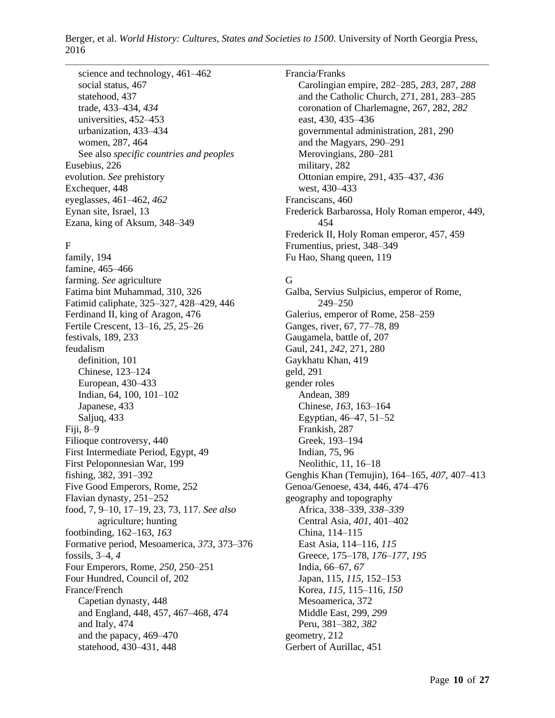science and technology, 461–462 social status, 467 statehood, 437 trade, 433–434, *434* universities, 452–453 urbanization, 433–434 women, 287, 464 See also *specific countries and peoples* Eusebius, 226 evolution. *See* prehistory Exchequer, 448 eyeglasses, 461–462, *462* Eynan site, Israel, 13 Ezana, king of Aksum, 348–349

#### F

family, 194 famine, 465–466 farming. *See* agriculture Fatima bint Muhammad, 310, 326 Fatimid caliphate, 325–327, 428–429, 446 Ferdinand II, king of Aragon, 476 Fertile Crescent, 13–16, *25,* 25–26 festivals, 189, 233 feudalism definition, 101 Chinese, 123–124 European, 430–433 Indian, 64, 100, 101–102 Japanese, 433 Saljuq, 433 Fiji, 8–9 Filioque controversy, 440 First Intermediate Period, Egypt, 49 First Peloponnesian War, 199 fishing, 382, 391–392 Five Good Emperors, Rome, 252 Flavian dynasty, 251–252 food, 7, 9–10, 17–19, 23, 73, 117. *See also* agriculture; hunting footbinding, 162–163, *163* Formative period, Mesoamerica, *373,* 373–376 fossils, 3–4, *4* Four Emperors, Rome, *250,* 250–251 Four Hundred, Council of, 202 France/French Capetian dynasty, 448 and England, 448, 457, 467–468, 474 and Italy, 474 and the papacy, 469–470 statehood, 430–431, 448

Francia/Franks Carolingian empire, 282–285, *283,* 287, *288* and the Catholic Church, 271, 281, 283–285 coronation of Charlemagne, 267, 282, *282* east, 430, 435–436 governmental administration, 281, 290 and the Magyars, 290–291 Merovingians, 280–281 military, 282 Ottonian empire, 291, 435–437, *436* west, 430–433 Franciscans, 460 Frederick Barbarossa, Holy Roman emperor, 449, 454 Frederick II, Holy Roman emperor, 457, 459 Frumentius, priest, 348–349 Fu Hao, Shang queen, 119

### G

Galba, Servius Sulpicius, emperor of Rome, 249–250 Galerius, emperor of Rome, 258–259 Ganges, river, 67, 77–78, 89 Gaugamela, battle of, 207 Gaul, 241, *242,* 271, 280 Gaykhatu Khan, 419 geld, 291 gender roles Andean, 389 Chinese, *163,* 163–164 Egyptian, 46–47, 51–52 Frankish, 287 Greek, 193–194 Indian, 75, 96 Neolithic, 11, 16–18 Genghis Khan (Temujin), 164–165, *407,* 407–413 Genoa/Genoese, 434, 446, 474–476 geography and topography Africa, 338–339, *338–339* Central Asia, *401,* 401–402 China, 114–115 East Asia, 114–116, *115* Greece, 175–178, *176–177, 195* India, 66–67, *67* Japan, 115, *115,* 152–153 Korea, *115,* 115–116, *150* Mesoamerica, 372 Middle East, 299, *299* Peru, 381–382, *382* geometry, 212 Gerbert of Aurillac, 451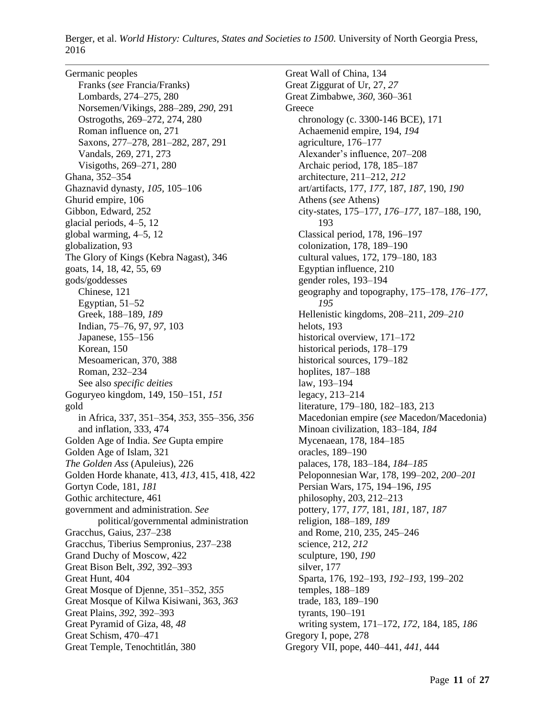Germanic peoples Franks (*see* Francia/Franks) Lombards, 274–275, 280 Norsemen/Vikings, 288–289, *290,* 291 Ostrogoths, 269–272, 274, 280 Roman influence on, 271 Saxons, 277–278, 281–282, 287, 291 Vandals, 269, 271, 273 Visigoths, 269–271, 280 Ghana, 352–354 Ghaznavid dynasty, *105,* 105–106 Ghurid empire, 106 Gibbon, Edward, 252 glacial periods, 4–5, 12 global warming, 4–5, 12 globalization, 93 The Glory of Kings (Kebra Nagast), 346 goats, 14, 18, 42, 55, 69 gods/goddesses Chinese, 121 Egyptian, 51–52 Greek, 188–189, *189* Indian, 75–76, 97, *97,* 103 Japanese, 155–156 Korean, 150 Mesoamerican, 370, 388 Roman, 232–234 See also *specific deities* Goguryeo kingdom, 149, 150–151, *151* gold in Africa, 337, 351–354, *353,* 355–356, *356* and inflation, 333, 474 Golden Age of India. *See* Gupta empire Golden Age of Islam, 321 *The Golden Ass* (Apuleius), 226 Golden Horde khanate, 413, *413,* 415, 418, 422 Gortyn Code, 181, *181* Gothic architecture, 461 government and administration. *See* political/governmental administration Gracchus, Gaius, 237–238 Gracchus, Tiberius Sempronius, 237–238 Grand Duchy of Moscow, 422 Great Bison Belt, *392,* 392–393 Great Hunt, 404 Great Mosque of Djenne, 351–352, *355* Great Mosque of Kilwa Kisiwani, 363, *363* Great Plains, *392,* 392–393 Great Pyramid of Giza, 48, *48* Great Schism, 470–471 Great Temple, Tenochtitlán, 380

Great Wall of China, 134 Great Ziggurat of Ur, 27, *27* Great Zimbabwe, *360,* 360–361 **Greece** chronology (c. 3300-146 BCE), 171 Achaemenid empire, 194, *194* agriculture, 176–177 Alexander's influence, 207–208 Archaic period, 178, 185–187 architecture, 211–212, *212* art/artifacts, 177, *177,* 187, *187,* 190, *190* Athens (*see* Athens) city-states, 175–177, *176–177,* 187–188, 190, 193 Classical period, 178, 196–197 colonization, 178, 189–190 cultural values, 172, 179–180, 183 Egyptian influence, 210 gender roles, 193–194 geography and topography, 175–178, *176–177, 195* Hellenistic kingdoms, 208–211, *209–210* helots, 193 historical overview, 171–172 historical periods, 178–179 historical sources, 179–182 hoplites, 187–188 law, 193–194 legacy, 213–214 literature, 179–180, 182–183, 213 Macedonian empire (*see* Macedon/Macedonia) Minoan civilization, 183–184, *184* Mycenaean, 178, 184–185 oracles, 189–190 palaces, 178, 183–184, *184–185* Peloponnesian War, 178, 199–202, *200–201* Persian Wars, 175, 194–196, *195* philosophy, 203, 212–213 pottery, 177, *177,* 181, *181,* 187, *187* religion, 188–189, *189* and Rome, 210, 235, 245–246 science, 212, *212* sculpture, 190, *190* silver, 177 Sparta, 176, 192–193, *192–193,* 199–202 temples, 188–189 trade, 183, 189–190 tyrants, 190–191 writing system, 171–172, *172,* 184, 185, *186* Gregory I, pope, 278 Gregory VII, pope, 440–441, *441,* 444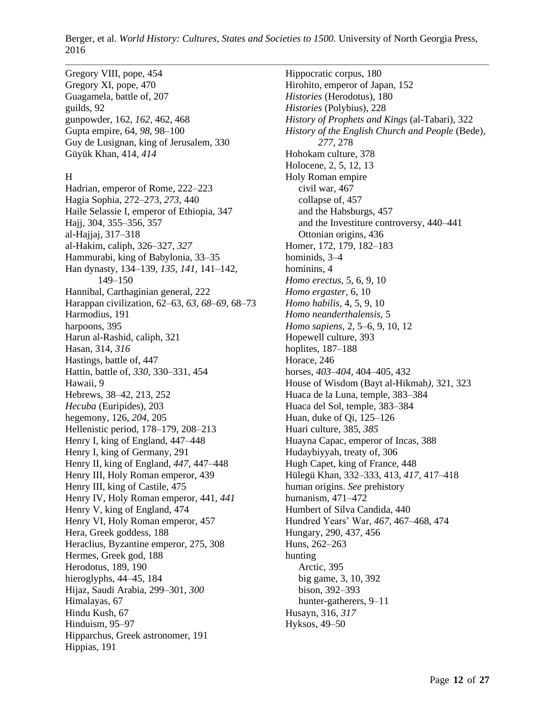Gregory VIII, pope, 454 Gregory XI, pope, 470 Guagamela, battle of, 207 guilds, 92 gunpowder, 162, *162,* 462, 468 Gupta empire, 64, *98,* 98–100 Guy de Lusignan, king of Jerusalem, 330 Güyük Khan, 414, *414*

## H

Hadrian, emperor of Rome, 222–223 Hagia Sophia, 272–273, *273,* 440 Haile Selassie I, emperor of Ethiopia, 347 Hajj, 304, 355–356, 357 al-Hajjaj, 317–318 al-Hakim, caliph, 326–327, *327* Hammurabi, king of Babylonia, 33–35 Han dynasty, 134–139, *135, 141,* 141–142, 149–150 Hannibal, Carthaginian general, 222 Harappan civilization, 62–63, *63, 68–69,* 68–73 Harmodius, 191 harpoons, 395 Harun al-Rashid, caliph, 321 Hasan, 314, *316* Hastings, battle of, 447 Hattin, battle of, *330,* 330–331, 454 Hawaii, 9 Hebrews, 38–42, 213, 252 *Hecuba* (Euripides), 203 hegemony, 126, *204,* 205 Hellenistic period, 178–179, 208–213 Henry I, king of England, 447–448 Henry I, king of Germany, 291 Henry II, king of England, *447,* 447–448 Henry III, Holy Roman emperor, 439 Henry III, king of Castile, 475 Henry IV, Holy Roman emperor, 441, *441* Henry V, king of England, 474 Henry VI, Holy Roman emperor, 457 Hera, Greek goddess, 188 Heraclius, Byzantine emperor, 275, 308 Hermes, Greek god, 188 Herodotus, 189, 190 hieroglyphs, 44–45, 184 Hijaz, Saudi Arabia, 299–301, *300* Himalayas, 67 Hindu Kush, 67 Hinduism, 95–97 Hipparchus, Greek astronomer, 191 Hippias, 191

Hippocratic corpus, 180 Hirohito, emperor of Japan, 152 *Histories* (Herodotus), 180 *Histories* (Polybius), 228 *History of Prophets and Kings* (al-Tabari), 322 *History of the English Church and People* (Bede), *277,* 278 Hohokam culture, 378 Holocene, 2, 5, 12, 13 Holy Roman empire civil war, 467 collapse of, 457 and the Habsburgs, 457 and the Investiture controversy, 440–441 Ottonian origins, 436 Homer, 172, 179, 182–183 hominids, 3–4 hominins, 4 *Homo erectus,* 5, 6, 9, 10 *Homo ergaster,* 6, 10 *Homo habilis,* 4, 5, 9, 10 *Homo neanderthalensis,* 5 *Homo sapiens,* 2, 5–6, 9, 10, 12 Hopewell culture, 393 hoplites, 187–188 Horace, 246 horses, *403–404,* 404–405, 432 House of Wisdom (Bayt al-Hikmah*),* 321, 323 Huaca de la Luna, temple, 383–384 Huaca del Sol, temple, 383–384 Huan, duke of Qi, 125–126 Huari culture, 385, *385* Huayna Capac, emperor of Incas, 388 Hudaybiyyah, treaty of, 306 Hugh Capet, king of France, 448 Hülegü Khan, 332–333, 413, *417,* 417–418 human origins. *See* prehistory humanism, 471–472 Humbert of Silva Candida, 440 Hundred Years' War, *467,* 467–468, 474 Hungary, 290, 437, 456 Huns, 262–263 hunting Arctic, 395 big game, 3, 10, 392 bison, 392–393 hunter-gatherers, 9–11 Husayn, 316, *317* Hyksos, 49–50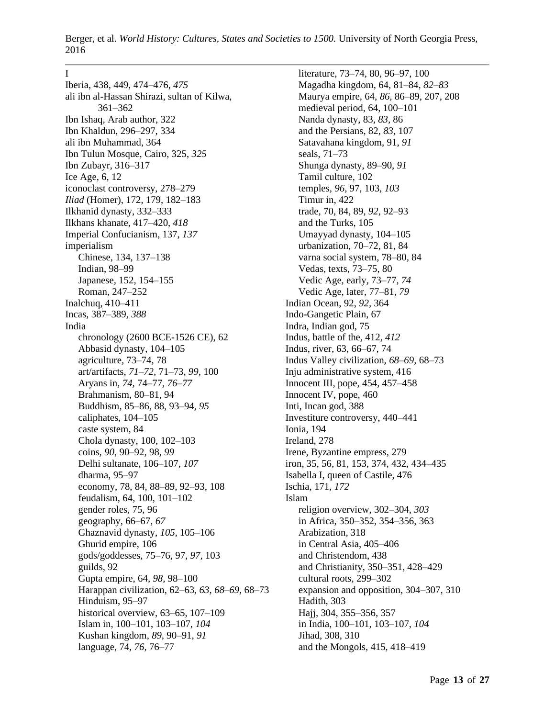#### I

Iberia, 438, 449, 474–476, *475* ali ibn al-Hassan Shirazi, sultan of Kilwa, 361–362 Ibn Ishaq, Arab author, 322 Ibn Khaldun, 296–297, 334 ali ibn Muhammad, 364 Ibn Tulun Mosque, Cairo, 325, *325* Ibn Zubayr, 316–317 Ice Age, 6, 12 iconoclast controversy, 278–279 *Iliad* (Homer), 172, 179, 182–183 Ilkhanid dynasty, 332–333 Ilkhans khanate, 417–420, *418* Imperial Confucianism, 137, *137* imperialism Chinese, 134, 137–138 Indian, 98–99 Japanese, 152, 154–155 Roman, 247–252 Inalchuq, 410–411 Incas, 387–389, *388* India chronology (2600 BCE-1526 CE), 62 Abbasid dynasty, 104–105 agriculture, 73–74, 78 art/artifacts, *71–72,* 71–73, *99,* 100 Aryans in, *74,* 74–77, *76–77* Brahmanism, 80–81, 94 Buddhism, 85–86, 88, 93–94, *95* caliphates, 104–105 caste system, 84 Chola dynasty, 100, 102–103 coins, *90,* 90–92, 98, *99* Delhi sultanate, 106–107, *107* dharma, 95–97 economy, 78, 84, 88–89, 92–93, 108 feudalism, 64, 100, 101–102 gender roles, 75, 96 geography, 66–67, *67* Ghaznavid dynasty, *105,* 105–106 Ghurid empire, 106 gods/goddesses, 75–76, 97, *97,* 103 guilds, 92 Gupta empire, 64, *98,* 98–100 Harappan civilization, 62–63, *63, 68–69,* 68–73 Hinduism, 95–97 historical overview, 63–65, 107–109 Islam in, 100–101, 103–107, *104* Kushan kingdom, *89,* 90–91, *91* language, 74, *76,* 76–77

literature, 73–74, 80, 96–97, 100 Magadha kingdom, 64, 81–84, *82–83* Maurya empire, 64, *86,* 86–89, 207, 208 medieval period, 64, 100–101 Nanda dynasty, 83, *83,* 86 and the Persians, 82, *83,* 107 Satavahana kingdom, 91, *91* seals, 71–73 Shunga dynasty, 89–90, *91* Tamil culture, 102 temples, *96,* 97, 103, *103* Timur in, 422 trade, 70, 84, 89, *92,* 92–93 and the Turks, 105 Umayyad dynasty, 104–105 urbanization, 70–72, 81, 84 varna social system, 78–80, 84 Vedas, texts, 73–75, 80 Vedic Age, early, 73–77, *74* Vedic Age, later, 77–81, *79* Indian Ocean, 92, *92,* 364 Indo-Gangetic Plain, 67 Indra, Indian god, 75 Indus, battle of the, 412, *412* Indus, river, 63, 66–67, 74 Indus Valley civilization, *68–69,* 68–73 Inju administrative system, 416 Innocent III, pope, 454, 457–458 Innocent IV, pope, 460 Inti, Incan god, 388 Investiture controversy, 440–441 Ionia, 194 Ireland, 278 Irene, Byzantine empress, 279 iron, 35, 56, 81, 153, 374, 432, 434–435 Isabella I, queen of Castile, 476 Ischia, 171, *172* Islam religion overview, 302–304, *303* in Africa, 350–352, 354–356, 363 Arabization, 318 in Central Asia, 405–406 and Christendom, 438 and Christianity, 350–351, 428–429 cultural roots, 299–302 expansion and opposition, 304–307, 310 Hadith, 303 Hajj, 304, 355–356, 357 in India, 100–101, 103–107, *104* Jihad, 308, 310 and the Mongols, 415, 418–419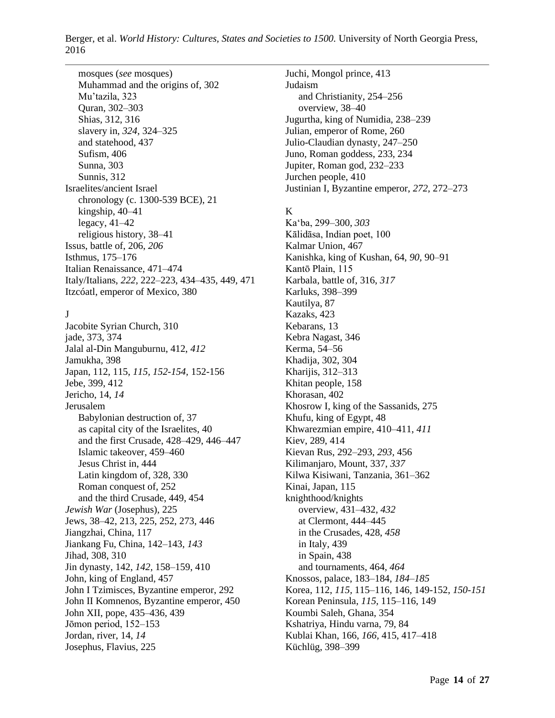mosques (*see* mosques) Muhammad and the origins of, 302 Mu'tazila, 323 Quran, 302–303 Shias, 312, 316 slavery in, *324,* 324–325 and statehood, 437 Sufism, 406 Sunna, 303 Sunnis, 312 Israelites/ancient Israel chronology (c. 1300-539 BCE), 21 kingship, 40–41 legacy, 41–42 religious history, 38–41 Issus, battle of, 206, *206* Isthmus, 175–176 Italian Renaissance, 471–474 Italy/Italians, *222,* 222–223, 434–435, 449, 471 Itzcóatl, emperor of Mexico, 380

# $\mathbf{I}$

Jacobite Syrian Church, 310 jade, 373, 374 Jalal al-Din Manguburnu, 412, *412* Jamukha, 398 Japan, 112, 115, *115, 152-154,* 152-156 Jebe, 399, 412 Jericho, 14, *14* Jerusalem Babylonian destruction of, 37 as capital city of the Israelites, 40 and the first Crusade, 428–429, 446–447 Islamic takeover, 459–460 Jesus Christ in, 444 Latin kingdom of, 328, 330 Roman conquest of, 252 and the third Crusade, 449, 454 *Jewish War* (Josephus), 225 Jews, 38–42, 213, 225, 252, 273, 446 Jiangzhai, China, 117 Jiankang Fu, China, 142–143, *143* Jihad, 308, 310 Jin dynasty, 142, *142,* 158–159, 410 John, king of England, 457 John I Tzimisces, Byzantine emperor, 292 John II Komnenos, Byzantine emperor, 450 John XII, pope, 435–436, 439 Jōmon period, 152–153 Jordan, river, 14, *14* Josephus, Flavius, 225

Juchi, Mongol prince, 413 Judaism and Christianity, 254–256 overview, 38–40 Jugurtha, king of Numidia, 238–239 Julian, emperor of Rome, 260 Julio-Claudian dynasty, 247–250 Juno, Roman goddess, 233, 234 Jupiter, Roman god, 232–233 Jurchen people, 410 Justinian I, Byzantine emperor, *272,* 272–273

# K

Ka'ba, 299–300, *303* Kālidāsa, Indian poet, 100 Kalmar Union, 467 Kanishka, king of Kushan, 64, *90,* 90–91 Kantō Plain, 115 Karbala, battle of, 316, *317* Karluks, 398–399 Kautilya, 87 Kazaks, 423 Kebarans, 13 Kebra Nagast, 346 Kerma, 54–56 Khadija, 302, 304 Kharijis, 312–313 Khitan people, 158 Khorasan, 402 Khosrow I, king of the Sassanids, 275 Khufu, king of Egypt, 48 Khwarezmian empire, 410–411, *411* Kiev, 289, 414 Kievan Rus, 292–293, *293,* 456 Kilimanjaro, Mount, 337, *337* Kilwa Kisiwani, Tanzania, 361–362 Kinai, Japan, 115 knighthood/knights overview, 431–432, *432* at Clermont, 444–445 in the Crusades, 428, *458* in Italy, 439 in Spain, 438 and tournaments, 464, *464* Knossos, palace, 183–184, *184–185* Korea, 112, *115,* 115–116, 146, 149-152, *150-151* Korean Peninsula, *115,* 115–116, 149 Koumbi Saleh, Ghana, 354 Kshatriya, Hindu varna, 79, 84 Kublai Khan, 166, *166,* 415, 417–418 Küchlüg, 398–399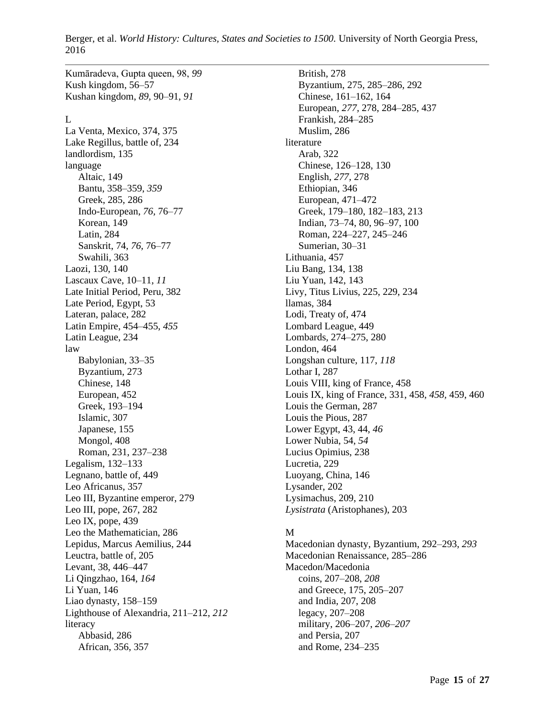Kumāradeva, Gupta queen, 98, *99* Kush kingdom, 56–57 Kushan kingdom, *89,* 90–91, *91*

## L

La Venta, Mexico, 374, 375 Lake Regillus, battle of, 234 landlordism, 135 language Altaic, 149 Bantu, 358–359, *359* Greek, 285, 286 Indo-European, *76,* 76–77 Korean, 149 Latin, 284 Sanskrit, 74, *76,* 76–77 Swahili, 363 Laozi, 130, 140 Lascaux Cave, 10–11, *11* Late Initial Period, Peru, 382 Late Period, Egypt, 53 Lateran, palace, 282 Latin Empire, 454–455, *455* Latin League, 234 law Babylonian, 33–35 Byzantium, 273 Chinese, 148 European, 452 Greek, 193–194 Islamic, 307 Japanese, 155 Mongol, 408 Roman, 231, 237–238 Legalism, 132–133 Legnano, battle of, 449 Leo Africanus, 357 Leo III, Byzantine emperor, 279 Leo III, pope, 267, 282 Leo IX, pope, 439 Leo the Mathematician, 286 Lepidus, Marcus Aemilius, 244 Leuctra, battle of, 205 Levant, 38, 446–447 Li Qingzhao, 164, *164* Li Yuan, 146 Liao dynasty, 158–159 Lighthouse of Alexandria, 211–212, *212* literacy Abbasid, 286 African, 356, 357

British, 278 Byzantium, 275, 285–286, 292 Chinese, 161–162, 164 European, *277,* 278, 284–285, 437 Frankish, 284–285 Muslim, 286 literature Arab, 322 Chinese, 126–128, 130 English, *277,* 278 Ethiopian, 346 European, 471–472 Greek, 179–180, 182–183, 213 Indian, 73–74, 80, 96–97, 100 Roman, 224–227, 245–246 Sumerian, 30–31 Lithuania, 457 Liu Bang, 134, 138 Liu Yuan, 142, 143 Livy, Titus Livius, 225, 229, 234 llamas, 384 Lodi, Treaty of, 474 Lombard League, 449 Lombards, 274–275, 280 London, 464 Longshan culture, 117, *118* Lothar I, 287 Louis VIII, king of France, 458 Louis IX, king of France, 331, 458, *458,* 459, 460 Louis the German, 287 Louis the Pious, 287 Lower Egypt, 43, 44, *46* Lower Nubia, 54, *54* Lucius Opimius, 238 Lucretia, 229 Luoyang, China, 146 Lysander, 202 Lysimachus, 209, 210 *Lysistrata* (Aristophanes), 203

### M

Macedonian dynasty, Byzantium, 292–293, *293* Macedonian Renaissance, 285–286 Macedon/Macedonia coins, 207–208, *208* and Greece, 175, 205–207 and India, 207, 208 legacy, 207–208 military, 206–207, *206–207* and Persia, 207 and Rome, 234–235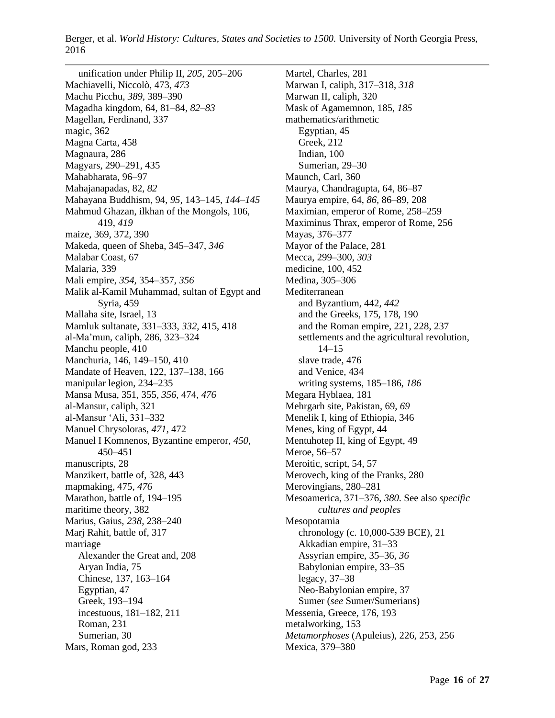unification under Philip II, *205,* 205–206 Machiavelli, Niccolò, 473, *473* Machu Picchu, *389,* 389–390 Magadha kingdom, 64, 81–84, *82–83* Magellan, Ferdinand, 337 magic, 362 Magna Carta, 458 Magnaura, 286 Magyars, 290–291, 435 Mahabharata, 96–97 Mahajanapadas, 82, *82* Mahayana Buddhism, 94, *95,* 143–145, *144–145* Mahmud Ghazan, ilkhan of the Mongols, 106, 419, *419* maize, 369, 372, 390 Makeda, queen of Sheba, 345–347, *346* Malabar Coast, 67 Malaria, 339 Mali empire, *354,* 354–357, *356* Malik al-Kamil Muhammad, sultan of Egypt and Syria, 459 Mallaha site, Israel, 13 Mamluk sultanate, 331–333, *332,* 415, 418 al-Ma'mun, caliph, 286, 323–324 Manchu people, 410 Manchuria, 146, 149–150, 410 Mandate of Heaven, 122, 137–138, 166 manipular legion, 234–235 Mansa Musa, 351, 355, *356,* 474, *476* al-Mansur, caliph, 321 al-Mansur 'Ali, 331–332 Manuel Chrysoloras, *471,* 472 Manuel I Komnenos, Byzantine emperor, *450,* 450–451 manuscripts, 28 Manzikert, battle of, 328, 443 mapmaking, 475, *476* Marathon, battle of, 194–195 maritime theory, 382 Marius, Gaius, *238,* 238–240 Marj Rahit, battle of, 317 marriage Alexander the Great and, 208 Aryan India, 75 Chinese, 137, 163–164 Egyptian, 47 Greek, 193–194 incestuous, 181–182, 211 Roman, 231 Sumerian, 30 Mars, Roman god, 233

Martel, Charles, 281 Marwan I, caliph, 317–318, *318* Marwan II, caliph, 320 Mask of Agamemnon, 185, *185* mathematics/arithmetic Egyptian, 45 Greek, 212 Indian, 100 Sumerian, 29–30 Maunch, Carl, 360 Maurya, Chandragupta, 64, 86–87 Maurya empire, 64, *86,* 86–89, 208 Maximian, emperor of Rome, 258–259 Maximinus Thrax, emperor of Rome, 256 Mayas, 376–377 Mayor of the Palace, 281 Mecca, 299–300, *303* medicine, 100, 452 Medina, 305–306 Mediterranean and Byzantium, 442, *442* and the Greeks, 175, 178, 190 and the Roman empire, 221, 228, 237 settlements and the agricultural revolution, 14–15 slave trade, 476 and Venice, 434 writing systems, 185–186, *186* Megara Hyblaea, 181 Mehrgarh site, Pakistan, 69, *69* Menelik I, king of Ethiopia, 346 Menes, king of Egypt, 44 Mentuhotep II, king of Egypt, 49 Meroe, 56–57 Meroitic, script, 54, 57 Merovech, king of the Franks, 280 Merovingians, 280–281 Mesoamerica, 371–376, *380*. See also *specific cultures and peoples* Mesopotamia chronology (c. 10,000-539 BCE), 21 Akkadian empire, 31–33 Assyrian empire, 35–36, *36* Babylonian empire, 33–35 legacy, 37–38 Neo-Babylonian empire, 37 Sumer (*see* Sumer/Sumerians) Messenia, Greece, 176, 193 metalworking, 153 *Metamorphoses* (Apuleius), 226, 253, 256 Mexica, 379–380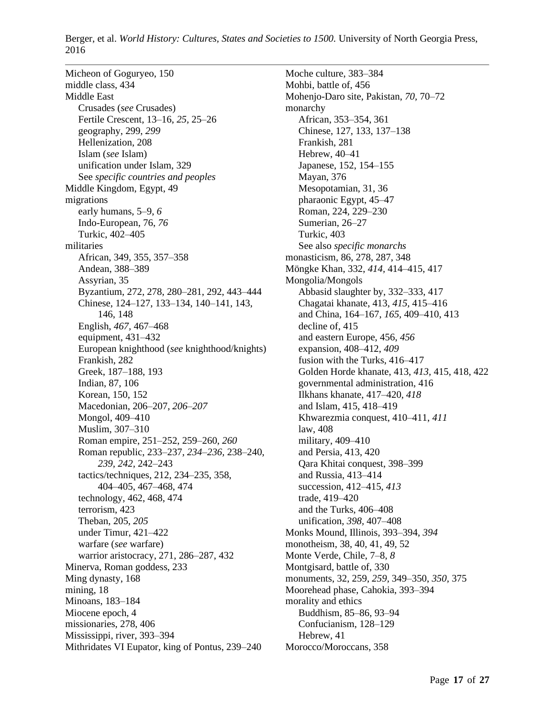Micheon of Goguryeo, 150 middle class, 434 Middle East Crusades (*see* Crusades) Fertile Crescent, 13–16, *25,* 25–26 geography, 299, *299* Hellenization, 208 Islam (*see* Islam) unification under Islam, 329 See *specific countries and peoples* Middle Kingdom, Egypt, 49 migrations early humans, 5–9, *6* Indo-European, 76, *76* Turkic, 402–405 militaries African, 349, 355, 357–358 Andean, 388–389 Assyrian, 35 Byzantium, 272, 278, 280–281, 292, 443–444 Chinese, 124–127, 133–134, 140–141, 143, 146, 148 English, *467,* 467–468 equipment, 431–432 European knighthood (*see* knighthood/knights) Frankish, 282 Greek, 187–188, 193 Indian, 87, 106 Korean, 150, 152 Macedonian, 206–207, *206–207* Mongol, 409–410 Muslim, 307–310 Roman empire, 251–252, 259–260, *260* Roman republic, 233–237, *234–236,* 238–240, *239, 242,* 242–243 tactics/techniques, 212, 234–235, 358, 404–405, 467–468, 474 technology, 462, 468, 474 terrorism, 423 Theban, 205, *205* under Timur, 421–422 warfare (*see* warfare) warrior aristocracy, 271, 286–287, 432 Minerva, Roman goddess, 233 Ming dynasty, 168 mining, 18 Minoans, 183–184 Miocene epoch, 4 missionaries, 278, 406 Mississippi, river, 393–394 Mithridates VI Eupator, king of Pontus, 239–240

Moche culture, 383–384 Mohbi, battle of, 456 Mohenjo-Daro site, Pakistan, *70,* 70–72 monarchy African, 353–354, 361 Chinese, 127, 133, 137–138 Frankish, 281 Hebrew, 40–41 Japanese, 152, 154–155 Mayan, 376 Mesopotamian, 31, 36 pharaonic Egypt, 45–47 Roman, 224, 229–230 Sumerian, 26–27 Turkic, 403 See also *specific monarchs* monasticism, 86, 278, 287, 348 Möngke Khan, 332, *414,* 414–415, 417 Mongolia/Mongols Abbasid slaughter by, 332–333, 417 Chagatai khanate, 413, *415,* 415–416 and China, 164–167, *165,* 409–410, 413 decline of, 415 and eastern Europe, 456, *456* expansion, 408–412, *409* fusion with the Turks, 416–417 Golden Horde khanate, 413, *413,* 415, 418, 422 governmental administration, 416 Ilkhans khanate, 417–420, *418* and Islam, 415, 418–419 Khwarezmia conquest, 410–411, *411* law, 408 military, 409–410 and Persia, 413, 420 Qara Khitai conquest, 398–399 and Russia, 413–414 succession, 412–415, *413* trade, 419–420 and the Turks, 406–408 unification, *398,* 407–408 Monks Mound, Illinois, 393–394, *394* monotheism, 38, 40, 41, 49, 52 Monte Verde, Chile, 7–8, *8* Montgisard, battle of, 330 monuments, 32, 259, *259,* 349–350, *350,* 375 Moorehead phase, Cahokia, 393–394 morality and ethics Buddhism, 85–86, 93–94 Confucianism, 128–129 Hebrew, 41 Morocco/Moroccans, 358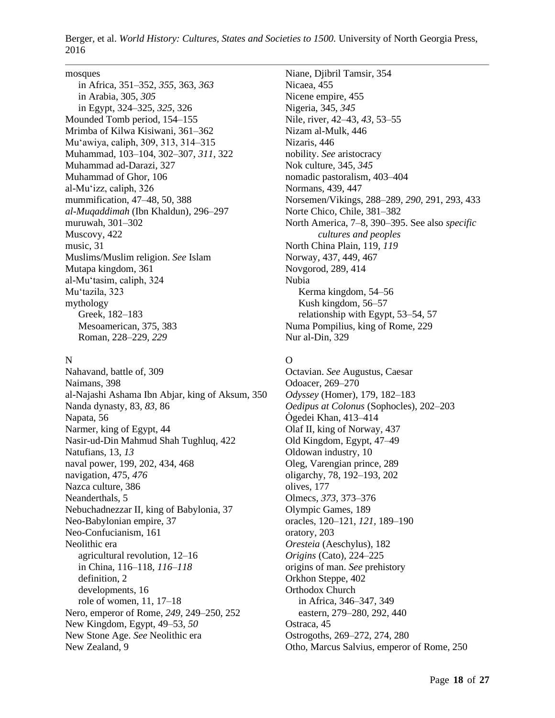#### mosques

in Africa, 351–352, *355,* 363, *363* in Arabia, 305, *305* in Egypt, 324–325, *325,* 326 Mounded Tomb period, 154–155 Mrimba of Kilwa Kisiwani, 361–362 Mu'awiya, caliph, 309, 313, 314–315 Muhammad, 103–104, 302–307, *311,* 322 Muhammad ad-Darazi, 327 Muhammad of Ghor, 106 al-Mu'izz, caliph, 326 mummification, 47–48, 50, 388 *al-Muqaddimah* (Ibn Khaldun), 296–297 muruwah, 301–302 Muscovy, 422 music, 31 Muslims/Muslim religion. *See* Islam Mutapa kingdom, 361 al-Mu'tasim, caliph, 324 Mu'tazila, 323 mythology Greek, 182–183 Mesoamerican, 375, 383 Roman, 228–229, *229*

#### N

Nahavand, battle of, 309 Naimans, 398 al-Najashi Ashama Ibn Abjar, king of Aksum, 350 Nanda dynasty, 83, *83,* 86 Napata, 56 Narmer, king of Egypt, 44 Nasir-ud-Din Mahmud Shah Tughluq, 422 Natufians, 13, *13* naval power, 199, 202, 434, 468 navigation, 475, *476* Nazca culture, 386 Neanderthals, 5 Nebuchadnezzar II, king of Babylonia, 37 Neo-Babylonian empire, 37 Neo-Confucianism, 161 Neolithic era agricultural revolution, 12–16 in China, 116–118, *116–118* definition, 2 developments, 16 role of women, 11, 17–18 Nero, emperor of Rome, *249,* 249–250, 252 New Kingdom, Egypt, 49–53, *50* New Stone Age. *See* Neolithic era New Zealand, 9

Niane, Djibril Tamsir, 354 Nicaea, 455 Nicene empire, 455 Nigeria, 345, *345* Nile, river, 42–43, *43,* 53–55 Nizam al-Mulk, 446 Nizaris, 446 nobility. *See* aristocracy Nok culture, 345, *345* nomadic pastoralism, 403–404 Normans, 439, 447 Norsemen/Vikings, 288–289, *290,* 291, 293, 433 Norte Chico, Chile, 381–382 North America, 7–8, 390–395. See also *specific cultures and peoples* North China Plain, 119, *119* Norway, 437, 449, 467 Novgorod, 289, 414 Nubia Kerma kingdom, 54–56 Kush kingdom, 56–57 relationship with Egypt, 53–54, 57 Numa Pompilius, king of Rome, 229 Nur al-Din, 329

## O

Octavian. *See* Augustus, Caesar Odoacer, 269–270 *Odyssey* (Homer), 179, 182–183 *Oedipus at Colonus* (Sophocles), 202–203 Ȯgedei Khan, 413–414 Olaf II, king of Norway, 437 Old Kingdom, Egypt, 47–49 Oldowan industry, 10 Oleg, Varengian prince, 289 oligarchy, 78, 192–193, 202 olives, 177 Olmecs, *373,* 373–376 Olympic Games, 189 oracles, 120–121, *121,* 189–190 oratory, 203 *Oresteia* (Aeschylus), 182 *Origins* (Cato), 224–225 origins of man. *See* prehistory Orkhon Steppe, 402 Orthodox Church in Africa, 346–347, 349 eastern, 279–280, 292, 440 Ostraca, 45 Ostrogoths, 269–272, 274, 280 Otho, Marcus Salvius, emperor of Rome, 250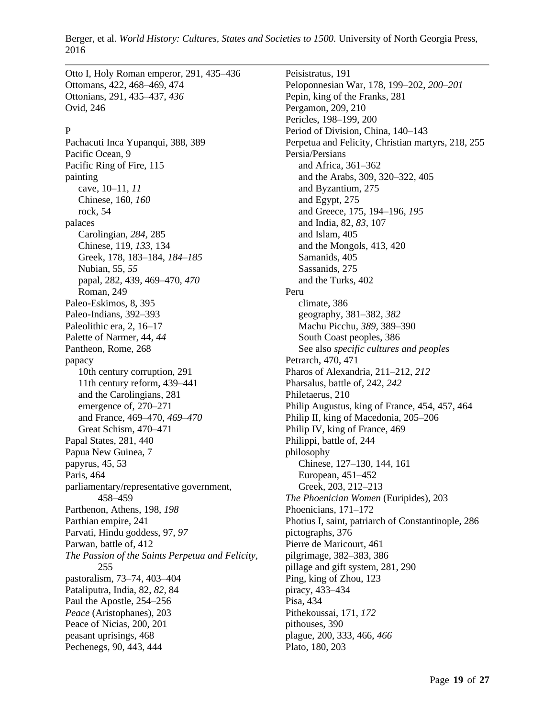Otto I, Holy Roman emperor, 291, 435–436 Ottomans, 422, 468–469, 474 Ottonians, 291, 435–437, *436* Ovid, 246

#### P

Pachacuti Inca Yupanqui, 388, 389 Pacific Ocean, 9 Pacific Ring of Fire, 115 painting cave, 10–11, *11* Chinese, 160, *160* rock, 54 palaces Carolingian, *284,* 285 Chinese, 119, *133,* 134 Greek, 178, 183–184, *184–185* Nubian, 55, *55* papal, 282, 439, 469–470, *470* Roman, 249 Paleo-Eskimos, 8, 395 Paleo-Indians, 392–393 Paleolithic era, 2, 16–17 Palette of Narmer, 44, *44* Pantheon, Rome, 268 papacy 10th century corruption, 291 11th century reform, 439–441 and the Carolingians, 281 emergence of, 270–271 and France, 469–470, *469–470* Great Schism, 470–471 Papal States, 281, 440 Papua New Guinea, 7 papyrus, 45, 53 Paris, 464 parliamentary/representative government, 458–459 Parthenon, Athens, 198, *198* Parthian empire, 241 Parvati, Hindu goddess, 97, *97* Parwan, battle of, 412 *The Passion of the Saints Perpetua and Felicity,* 255 pastoralism, 73–74, 403–404 Pataliputra, India, 82, *82,* 84 Paul the Apostle, 254–256 *Peace* (Aristophanes), 203 Peace of Nicias, 200, 201 peasant uprisings, 468 Pechenegs, 90, 443, 444

Peisistratus, 191 Peloponnesian War, 178, 199–202, *200–201* Pepin, king of the Franks, 281 Pergamon, 209, 210 Pericles, 198–199, 200 Period of Division, China, 140–143 Perpetua and Felicity, Christian martyrs, 218, 255 Persia/Persians and Africa, 361–362 and the Arabs, 309, 320–322, 405 and Byzantium, 275 and Egypt, 275 and Greece, 175, 194–196, *195* and India, 82, *83,* 107 and Islam, 405 and the Mongols, 413, 420 Samanids, 405 Sassanids, 275 and the Turks, 402 Peru climate, 386 geography, 381–382, *382* Machu Picchu, *389,* 389–390 South Coast peoples, 386 See also *specific cultures and peoples* Petrarch, 470, 471 Pharos of Alexandria, 211–212, *212* Pharsalus, battle of, 242, *242* Philetaerus, 210 Philip Augustus, king of France, 454, 457, 464 Philip II, king of Macedonia, 205–206 Philip IV, king of France, 469 Philippi, battle of, 244 philosophy Chinese, 127–130, 144, 161 European, 451–452 Greek, 203, 212–213 *The Phoenician Women* (Euripides), 203 Phoenicians, 171–172 Photius I, saint, patriarch of Constantinople, 286 pictographs, 376 Pierre de Maricourt, 461 pilgrimage, 382–383, 386 pillage and gift system, 281, 290 Ping, king of Zhou, 123 piracy, 433–434 Pisa, 434 Pithekoussai, 171, *172* pithouses, 390 plague, 200, 333, 466, *466* Plato, 180, 203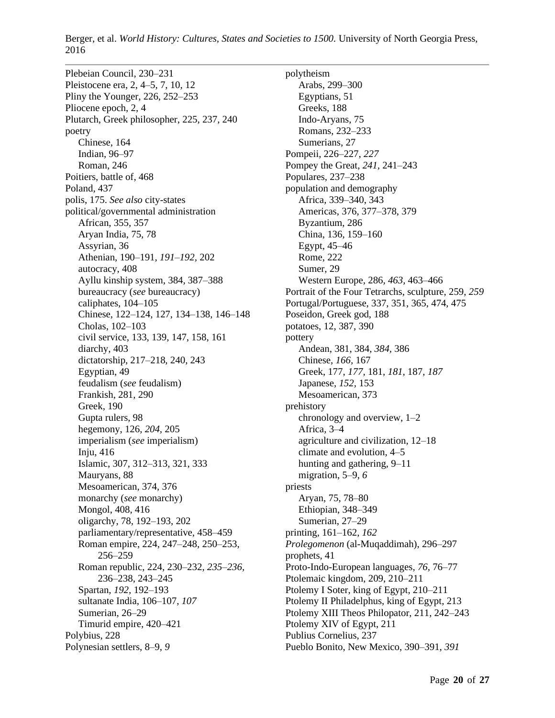Plebeian Council, 230–231 Pleistocene era, 2, 4–5, 7, 10, 12 Pliny the Younger, 226, 252–253 Pliocene epoch, 2, 4 Plutarch, Greek philosopher, 225, 237, 240 poetry Chinese, 164 Indian, 96–97 Roman, 246 Poitiers, battle of, 468 Poland, 437 polis, 175. *See also* city-states political/governmental administration African, 355, 357 Aryan India, 75, 78 Assyrian, 36 Athenian, 190–191, *191–192,* 202 autocracy, 408 Ayllu kinship system, 384, 387–388 bureaucracy (*see* bureaucracy) caliphates, 104–105 Chinese, 122–124, 127, 134–138, 146–148 Cholas, 102–103 civil service, 133, 139, 147, 158, 161 diarchy, 403 dictatorship, 217–218, 240, 243 Egyptian, 49 feudalism (*see* feudalism) Frankish, 281, 290 Greek, 190 Gupta rulers, 98 hegemony, 126, *204,* 205 imperialism (*see* imperialism) Inju, 416 Islamic, 307, 312–313, 321, 333 Mauryans, 88 Mesoamerican, 374, 376 monarchy (*see* monarchy) Mongol, 408, 416 oligarchy, 78, 192–193, 202 parliamentary/representative, 458–459 Roman empire, 224, 247–248, 250–253, 256–259 Roman republic, 224, 230–232, *235–236,* 236–238, 243–245 Spartan, *192,* 192–193 sultanate India, 106–107, *107* Sumerian, 26–29 Timurid empire, 420–421 Polybius, 228 Polynesian settlers, 8–9, *9*

polytheism Arabs, 299–300 Egyptians, 51 Greeks, 188 Indo-Aryans, 75 Romans, 232–233 Sumerians, 27 Pompeii, 226–227, *227* Pompey the Great, *241,* 241–243 Populares, 237–238 population and demography Africa, 339–340, 343 Americas, 376, 377–378, 379 Byzantium, 286 China, 136, 159–160 Egypt, 45–46 Rome, 222 Sumer, 29 Western Europe, 286, *463,* 463–466 Portrait of the Four Tetrarchs, sculpture, 259, *259* Portugal/Portuguese, 337, 351, 365, 474, 475 Poseidon, Greek god, 188 potatoes, 12, 387, 390 pottery Andean, 381, 384, *384,* 386 Chinese, *166,* 167 Greek, 177, *177,* 181, *181,* 187, *187* Japanese, *152,* 153 Mesoamerican, 373 prehistory chronology and overview, 1–2 Africa, 3–4 agriculture and civilization, 12–18 climate and evolution, 4–5 hunting and gathering, 9–11 migration, 5–9, *6* priests Aryan, 75, 78–80 Ethiopian, 348–349 Sumerian, 27–29 printing, 161–162, *162 Prolegomenon* (al-Muqaddimah), 296–297 prophets, 41 Proto-Indo-European languages, *76,* 76–77 Ptolemaic kingdom, 209, 210–211 Ptolemy I Soter, king of Egypt, 210–211 Ptolemy II Philadelphus, king of Egypt, 213 Ptolemy XIII Theos Philopator, 211, 242–243 Ptolemy XIV of Egypt, 211 Publius Cornelius, 237 Pueblo Bonito, New Mexico, 390–391, *391*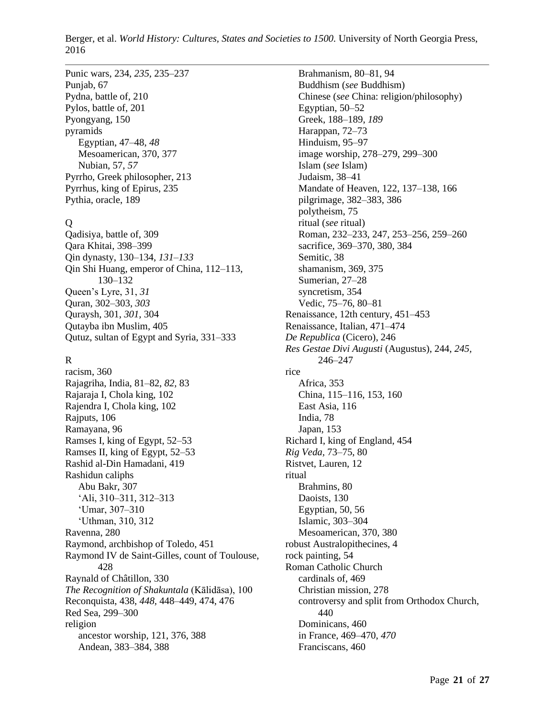# Punic wars, 234, *235,* 235–237 Punjab, 67

Pydna, battle of, 210 Pylos, battle of, 201 Pyongyang, 150 pyramids Egyptian, 47–48, *48* Mesoamerican, 370, 377 Nubian, 57, *57* Pyrrho, Greek philosopher, 213 Pyrrhus, king of Epirus, 235 Pythia, oracle, 189

## $\Omega$

Qadisiya, battle of, 309 Qara Khitai, 398–399 Qin dynasty, 130–134, *131–133* Qin Shi Huang, emperor of China, 112–113, 130–132 Queen's Lyre, 31, *31* Quran, 302–303, *303* Quraysh, 301, *301,* 304 Qutayba ibn Muslim, 405 Qutuz, sultan of Egypt and Syria, 331–333

# R

racism, 360 Rajagriha, India, 81–82, *82,* 83 Rajaraja I, Chola king, 102 Rajendra I, Chola king, 102 Rajputs, 106 Ramayana, 96 Ramses I, king of Egypt, 52–53 Ramses II, king of Egypt, 52–53 Rashid al-Din Hamadani, 419 Rashidun caliphs Abu Bakr, 307 'Ali, 310–311, 312–313 'Umar, 307–310 'Uthman, 310, 312 Ravenna, 280 Raymond, archbishop of Toledo, 451 Raymond IV de Saint-Gilles, count of Toulouse, 428 Raynald of Châtillon, 330 *The Recognition of Shakuntala* (Kālidāsa), 100 Reconquista, 438, *448,* 448–449, 474, 476 Red Sea, 299–300 religion ancestor worship, 121, 376, 388 Andean, 383–384, 388

Brahmanism, 80–81, 94 Buddhism (*see* Buddhism) Chinese (*see* China: religion/philosophy) Egyptian, 50–52 Greek, 188–189, *189* Harappan, 72–73 Hinduism, 95–97 image worship, 278–279, 299–300 Islam (*see* Islam) Judaism, 38–41 Mandate of Heaven, 122, 137–138, 166 pilgrimage, 382–383, 386 polytheism, 75 ritual (*see* ritual) Roman, 232–233, 247, 253–256, 259–260 sacrifice, 369–370, 380, 384 Semitic, 38 shamanism, 369, 375 Sumerian, 27–28 syncretism, 354 Vedic, 75–76, 80–81 Renaissance, 12th century, 451–453 Renaissance, Italian, 471–474 *De Republica* (Cicero), 246 *Res Gestae Divi Augusti* (Augustus), 244, *245,* 246–247 rice Africa, 353 China, 115–116, 153, 160 East Asia, 116 India, 78 Japan, 153 Richard I, king of England, 454 *Rig Veda,* 73–75, 80 Ristvet, Lauren, 12 ritual Brahmins, 80 Daoists, 130 Egyptian, 50, 56 Islamic, 303–304 Mesoamerican, 370, 380 robust Australopithecines, 4 rock painting, 54 Roman Catholic Church cardinals of, 469 Christian mission, 278 controversy and split from Orthodox Church, 440 Dominicans, 460 in France, 469–470, *470* Franciscans, 460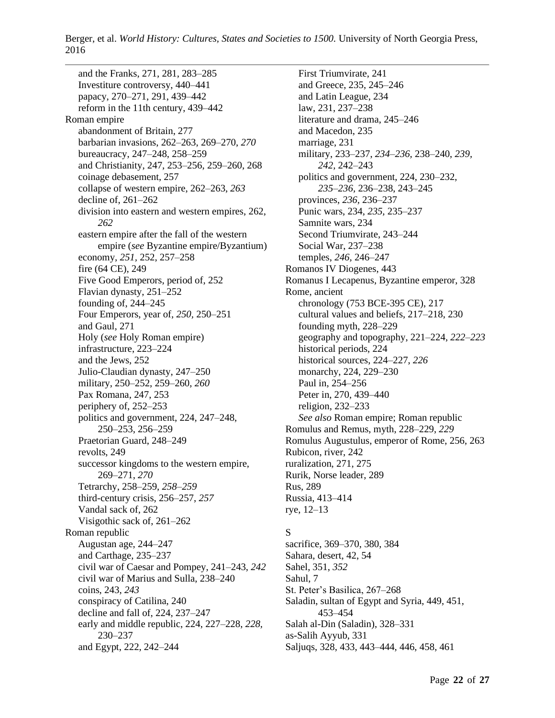and the Franks, 271, 281, 283–285 Investiture controversy, 440–441 papacy, 270–271, 291, 439–442 reform in the 11th century, 439–442 Roman empire abandonment of Britain, 277 barbarian invasions, 262–263, 269–270, *270* bureaucracy, 247–248, 258–259 and Christianity, 247, 253–256, 259–260, 268 coinage debasement, 257 collapse of western empire, 262–263, *263* decline of, 261–262 division into eastern and western empires, 262, *262* eastern empire after the fall of the western empire (*see* Byzantine empire/Byzantium) economy, *251,* 252, 257–258 fire (64 CE), 249 Five Good Emperors, period of, 252 Flavian dynasty, 251–252 founding of, 244–245 Four Emperors, year of, *250,* 250–251 and Gaul, 271 Holy (*see* Holy Roman empire) infrastructure, 223–224 and the Jews, 252 Julio-Claudian dynasty, 247–250 military, 250–252, 259–260, *260* Pax Romana, 247, 253 periphery of, 252–253 politics and government, 224, 247–248, 250–253, 256–259 Praetorian Guard, 248–249 revolts, 249 successor kingdoms to the western empire, 269–271, *270* Tetrarchy, 258–259, *258–259* third-century crisis, 256–257, *257* Vandal sack of, 262 Visigothic sack of, 261–262 Roman republic Augustan age, 244–247 and Carthage, 235–237 civil war of Caesar and Pompey, 241–243, *242* civil war of Marius and Sulla, 238–240 coins, 243, *243* conspiracy of Catilina, 240 decline and fall of, 224, 237–247 early and middle republic, 224, 227–228, *228,* 230–237 and Egypt, 222, 242–244

First Triumvirate, 241 and Greece, 235, 245–246 and Latin League, 234 law, 231, 237–238 literature and drama, 245–246 and Macedon, 235 marriage, 231 military, 233–237, *234–236,* 238–240, *239, 242,* 242–243 politics and government, 224, 230–232, *235–236,* 236–238, 243–245 provinces, *236,* 236–237 Punic wars, 234, *235,* 235–237 Samnite wars, 234 Second Triumvirate, 243–244 Social War, 237–238 temples, *246,* 246–247 Romanos IV Diogenes, 443 Romanus I Lecapenus, Byzantine emperor, 328 Rome, ancient chronology (753 BCE-395 CE), 217 cultural values and beliefs, 217–218, 230 founding myth, 228–229 geography and topography, 221–224, *222–223* historical periods, 224 historical sources, 224–227, *226* monarchy, 224, 229–230 Paul in, 254–256 Peter in, 270, 439–440 religion, 232–233 *See also* Roman empire; Roman republic Romulus and Remus, myth, 228–229, *229* Romulus Augustulus, emperor of Rome, 256, 263 Rubicon, river, 242 ruralization, 271, 275 Rurik, Norse leader, 289 Rus, 289 Russia, 413–414 rye, 12–13

# S

sacrifice, 369–370, 380, 384 Sahara, desert, 42, 54 Sahel, 351, *352* Sahul, 7 St. Peter's Basilica, 267–268 Saladin, sultan of Egypt and Syria, 449, 451, 453–454 Salah al-Din (Saladin), 328–331 as-Salih Ayyub, 331 Saljuqs, 328, 433, 443–444, 446, 458, 461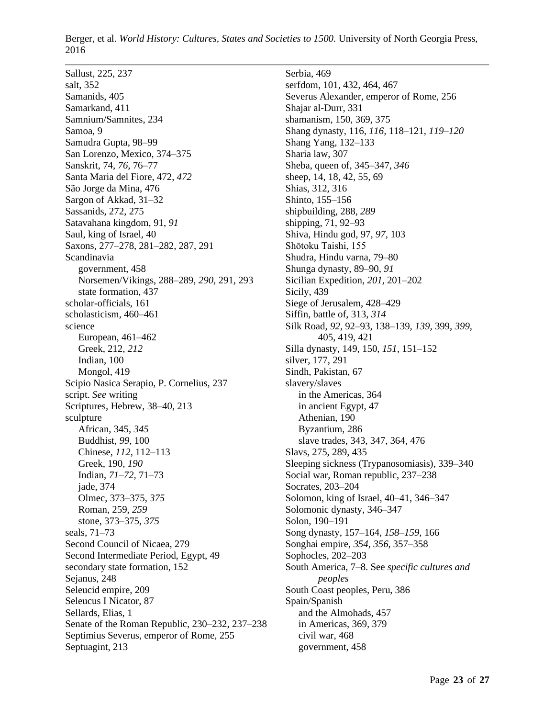Sallust, 225, 237 salt, 352 Samanids, 405 Samarkand, 411 Samnium/Samnites, 234 Samoa, 9 Samudra Gupta, 98–99 San Lorenzo, Mexico, 374–375 Sanskrit, 74, *76,* 76–77 Santa Maria del Fiore, 472, *472* São Jorge da Mina, 476 Sargon of Akkad, 31–32 Sassanids, 272, 275 Satavahana kingdom, 91, *91* Saul, king of Israel, 40 Saxons, 277–278, 281–282, 287, 291 Scandinavia government, 458 Norsemen/Vikings, 288–289, *290,* 291, 293 state formation, 437 scholar-officials, 161 scholasticism, 460–461 science European, 461–462 Greek, 212, *212* Indian, 100 Mongol, 419 Scipio Nasica Serapio, P. Cornelius, 237 script. *See* writing Scriptures, Hebrew, 38–40, 213 sculpture African, 345, *345* Buddhist, *99,* 100 Chinese, *112,* 112–113 Greek, 190, *190* Indian, *71–72,* 71–73 jade, 374 Olmec, 373–375, *375* Roman, 259, *259* stone, 373–375, *375* seals, 71–73 Second Council of Nicaea, 279 Second Intermediate Period, Egypt, 49 secondary state formation, 152 Sejanus, 248 Seleucid empire, 209 Seleucus I Nicator, 87 Sellards, Elias, 1 Senate of the Roman Republic, 230–232, 237–238 Septimius Severus, emperor of Rome, 255 Septuagint, 213

Serbia, 469 serfdom, 101, 432, 464, 467 Severus Alexander, emperor of Rome, 256 Shajar al-Durr, 331 shamanism, 150, 369, 375 Shang dynasty, 116, *116,* 118–121, *119–120* Shang Yang, 132–133 Sharia law, 307 Sheba, queen of, 345–347, *346* sheep, 14, 18, 42, 55, 69 Shias, 312, 316 Shinto, 155–156 shipbuilding, 288, *289* shipping, 71, 92–93 Shiva, Hindu god, 97, *97,* 103 Shōtoku Taishi, 155 Shudra, Hindu varna, 79–80 Shunga dynasty, 89–90, *91* Sicilian Expedition, *201,* 201–202 Sicily, 439 Siege of Jerusalem, 428–429 Siffin, battle of, 313, *314* Silk Road, *92,* 92–93, 138–139, *139,* 399, *399,* 405, 419, 421 Silla dynasty, 149, 150, *151,* 151–152 silver, 177, 291 Sindh, Pakistan, 67 slavery/slaves in the Americas, 364 in ancient Egypt, 47 Athenian, 190 Byzantium, 286 slave trades, 343, 347, 364, 476 Slavs, 275, 289, 435 Sleeping sickness (Trypanosomiasis), 339–340 Social war, Roman republic, 237–238 Socrates, 203–204 Solomon, king of Israel, 40–41, 346–347 Solomonic dynasty, 346–347 Solon, 190–191 Song dynasty, 157–164, *158–159,* 166 Songhai empire, *354, 356,* 357–358 Sophocles, 202–203 South America, 7–8. See *specific cultures and peoples* South Coast peoples, Peru, 386 Spain/Spanish and the Almohads, 457 in Americas, 369, 379 civil war, 468 government, 458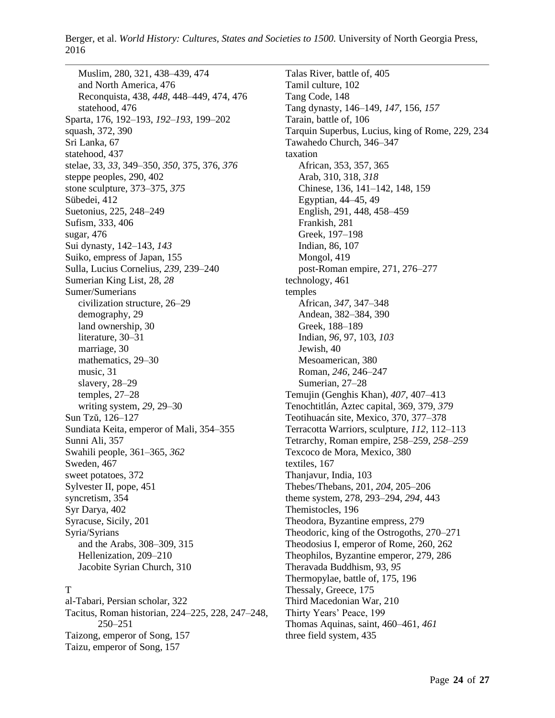Muslim, 280, 321, 438–439, 474 and North America, 476 Reconquista, 438, *448,* 448–449, 474, 476 statehood, 476 Sparta, 176, 192–193, *192–193,* 199–202 squash, 372, 390 Sri Lanka, 67 statehood, 437 stelae, 33, *33,* 349–350, *350,* 375, 376, *376* steppe peoples, 290, 402 stone sculpture, 373–375, *375* Sübedei, 412 Suetonius, 225, 248–249 Sufism, 333, 406 sugar, 476 Sui dynasty, 142–143, *143* Suiko, empress of Japan, 155 Sulla, Lucius Cornelius, *239,* 239–240 Sumerian King List, 28, *28* Sumer/Sumerians civilization structure, 26–29 demography, 29 land ownership, 30 literature, 30–31 marriage, 30 mathematics, 29–30 music, 31 slavery, 28–29 temples, 27–28 writing system, *29,* 29–30 Sun Tzŭ, 126–127 Sundiata Keita, emperor of Mali, 354–355 Sunni Ali, 357 Swahili people, 361–365, *362* Sweden, 467 sweet potatoes, 372 Sylvester II, pope, 451 syncretism, 354 Syr Darya, 402 Syracuse, Sicily, 201 Syria/Syrians and the Arabs, 308–309, 315 Hellenization, 209–210 Jacobite Syrian Church, 310

### T

al-Tabari, Persian scholar, 322 Tacitus, Roman historian, 224–225, 228, 247–248, 250–251 Taizong, emperor of Song, 157 Taizu, emperor of Song, 157

Talas River, battle of, 405 Tamil culture, 102 Tang Code, 148 Tang dynasty, 146–149, *147,* 156, *157* Tarain, battle of, 106 Tarquin Superbus, Lucius, king of Rome, 229, 234 Tawahedo Church, 346–347 taxation African, 353, 357, 365 Arab, 310, 318, *318* Chinese, 136, 141–142, 148, 159 Egyptian, 44–45, 49 English, 291, 448, 458–459 Frankish, 281 Greek, 197–198 Indian, 86, 107 Mongol, 419 post-Roman empire, 271, 276–277 technology, 461 temples African, *347,* 347–348 Andean, 382–384, 390 Greek, 188–189 Indian, *96,* 97, 103, *103* Jewish, 40 Mesoamerican, 380 Roman, *246,* 246–247 Sumerian, 27–28 Temujin (Genghis Khan), *407,* 407–413 Tenochtitlán, Aztec capital, 369, 379, *379* Teotihuacán site, Mexico, 370, 377–378 Terracotta Warriors, sculpture, *112,* 112–113 Tetrarchy, Roman empire, 258–259, *258–259* Texcoco de Mora, Mexico, 380 textiles, 167 Thanjavur, India, 103 Thebes/Thebans, 201, *204,* 205–206 theme system, 278, 293–294, *294,* 443 Themistocles, 196 Theodora, Byzantine empress, 279 Theodoric, king of the Ostrogoths, 270–271 Theodosius I, emperor of Rome, 260, 262 Theophilos, Byzantine emperor, 279, 286 Theravada Buddhism, 93, *95* Thermopylae, battle of, 175, 196 Thessaly, Greece, 175 Third Macedonian War, 210 Thirty Years' Peace, 199 Thomas Aquinas, saint, 460–461, *461* three field system, 435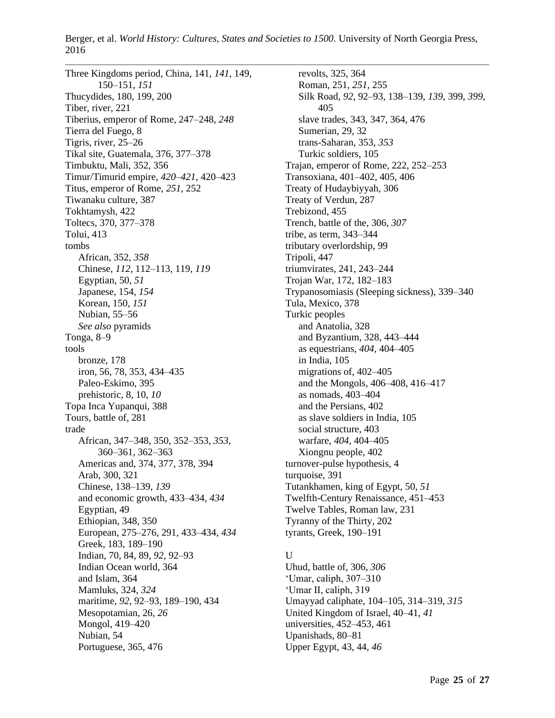Three Kingdoms period, China, 141, *141,* 149, 150–151, *151* Thucydides, 180, 199, 200 Tiber, river, 221 Tiberius, emperor of Rome, 247–248, *248* Tierra del Fuego, 8 Tigris, river, 25–26 Tikal site, Guatemala, 376, 377–378 Timbuktu, Mali, 352, 356 Timur/Timurid empire, *420–421,* 420–423 Titus, emperor of Rome, *251,* 252 Tiwanaku culture, 387 Tokhtamysh, 422 Toltecs, 370, 377–378 Tolui, 413 tombs African, 352, *358* Chinese, *112,* 112–113, 119, *119* Egyptian, 50, *51* Japanese, 154, *154* Korean, 150, *151* Nubian, 55–56 *See also* pyramids Tonga, 8–9 tools bronze, 178 iron, 56, 78, 353, 434–435 Paleo-Eskimo, 395 prehistoric, 8, 10, *10* Topa Inca Yupanqui, 388 Tours, battle of, 281 trade African, 347–348, 350, 352–353, *353,* 360–361, 362–363 Americas and, 374, 377, 378, 394 Arab, 300, 321 Chinese, 138–139, *139* and economic growth, 433–434, *434* Egyptian, 49 Ethiopian, 348, 350 European, 275–276, 291, 433–434, *434* Greek, 183, 189–190 Indian, 70, 84, 89, *92,* 92–93 Indian Ocean world, 364 and Islam, 364 Mamluks, 324, *324* maritime, *92,* 92–93, 189–190, 434 Mesopotamian, 26, *26* Mongol, 419–420 Nubian, 54 Portuguese, 365, 476

revolts, 325, 364 Roman, 251, *251,* 255 Silk Road, *92,* 92–93, 138–139, *139,* 399, *399,* 405 slave trades, 343, 347, 364, 476 Sumerian, 29, 32 trans-Saharan, 353, *353* Turkic soldiers, 105 Trajan, emperor of Rome, 222, 252–253 Transoxiana, 401–402, 405, 406 Treaty of Hudaybiyyah, 306 Treaty of Verdun, 287 Trebizond, 455 Trench, battle of the, 306, *307* tribe, as term, 343–344 tributary overlordship, 99 Tripoli, 447 triumvirates, 241, 243–244 Trojan War, 172, 182–183 Trypanosomiasis (Sleeping sickness), 339–340 Tula, Mexico, 378 Turkic peoples and Anatolia, 328 and Byzantium, 328, 443–444 as equestrians, *404,* 404–405 in India, 105 migrations of, 402–405 and the Mongols, 406–408, 416–417 as nomads, 403–404 and the Persians, 402 as slave soldiers in India, 105 social structure, 403 warfare, *404,* 404–405 Xiongnu people, 402 turnover-pulse hypothesis, 4 turquoise, 391 Tutankhamen, king of Egypt, 50, *51* Twelfth-Century Renaissance, 451–453 Twelve Tables, Roman law, 231 Tyranny of the Thirty, 202 tyrants, Greek, 190–191

## $U$

Uhud, battle of, 306, *306* 'Umar, caliph, 307–310 'Umar II, caliph, 319 Umayyad caliphate, 104–105, 314–319, *315* United Kingdom of Israel, 40–41, *41* universities, 452–453, 461 Upanishads, 80–81 Upper Egypt, 43, 44, *46*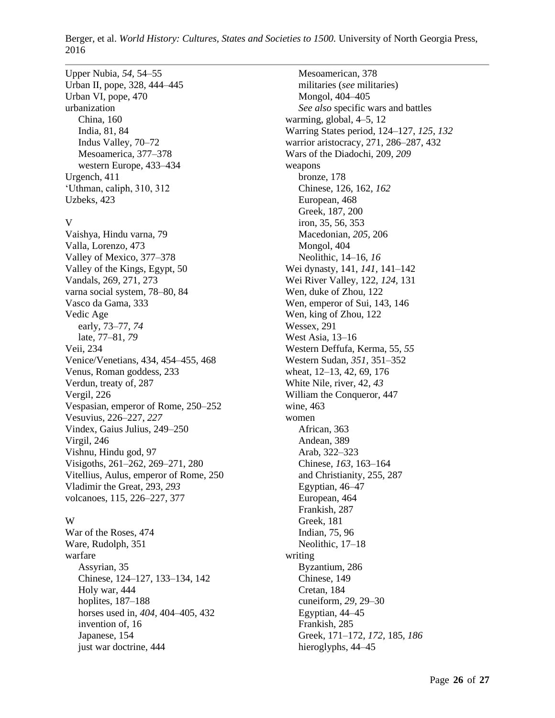Upper Nubia, *54,* 54–55 Urban II, pope, 328, 444–445 Urban VI, pope, 470 urbanization China, 160 India, 81, 84 Indus Valley, 70–72 Mesoamerica, 377–378 western Europe, 433–434 Urgench, 411 'Uthman, caliph, 310, 312 Uzbeks, 423

#### V

Vaishya, Hindu varna, 79 Valla, Lorenzo, 473 Valley of Mexico, 377–378 Valley of the Kings, Egypt, 50 Vandals, 269, 271, 273 varna social system, 78–80, 84 Vasco da Gama, 333 Vedic Age early, 73–77, *74* late, 77–81, *79* Veii, 234 Venice/Venetians, 434, 454–455, 468 Venus, Roman goddess, 233 Verdun, treaty of, 287 Vergil, 226 Vespasian, emperor of Rome, 250–252 Vesuvius, 226–227, *227* Vindex, Gaius Julius, 249–250 Virgil, 246 Vishnu, Hindu god, 97 Visigoths, 261–262, 269–271, 280 Vitellius, Aulus, emperor of Rome, 250 Vladimir the Great, 293, *293* volcanoes, 115, 226–227, 377

### W

War of the Roses, 474 Ware, Rudolph, 351 warfare Assyrian, 35 Chinese, 124–127, 133–134, 142 Holy war, 444 hoplites, 187–188 horses used in, *404,* 404–405, 432 invention of, 16 Japanese, 154 just war doctrine, 444

Mesoamerican, 378 militaries (*see* militaries) Mongol, 404–405 *See also* specific wars and battles warming, global, 4–5, 12 Warring States period, 124–127, *125, 132* warrior aristocracy, 271, 286–287, 432 Wars of the Diadochi, 209, *209* weapons bronze, 178 Chinese, 126, 162, *162* European, 468 Greek, 187, 200 iron, 35, 56, 353 Macedonian, *205,* 206 Mongol, 404 Neolithic, 14–16, *16* Wei dynasty, 141, *141,* 141–142 Wei River Valley, 122, *124,* 131 Wen, duke of Zhou, 122 Wen, emperor of Sui, 143, 146 Wen, king of Zhou, 122 Wessex, 291 West Asia, 13–16 Western Deffufa, Kerma, 55, *55* Western Sudan, *351,* 351–352 wheat, 12–13, 42, 69, 176 White Nile, river, 42, *43* William the Conqueror, 447 wine, 463 women African, 363 Andean, 389 Arab, 322–323 Chinese, *163,* 163–164 and Christianity, 255, 287 Egyptian, 46–47 European, 464 Frankish, 287 Greek, 181 Indian, 75, 96 Neolithic, 17–18 writing Byzantium, 286 Chinese, 149 Cretan, 184 cuneiform, *29,* 29–30 Egyptian, 44–45 Frankish, 285 Greek, 171–172, *172,* 185, *186* hieroglyphs, 44–45